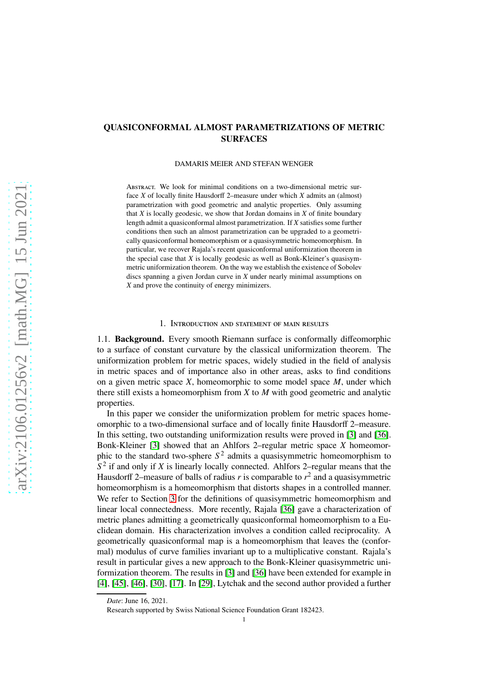# QUASICONFORMAL ALMOST PARAMETRIZATIONS OF METRIC SURFACES

#### DAMARIS MEIER AND STEFAN WENGER

ABSTRACT. We look for minimal conditions on a two-dimensional metric surface *X* of locally finite Hausdorff 2–measure under which *X* admits an (almost) parametrization with good geometric and analytic properties. Only assuming that *X* is locally geodesic, we show that Jordan domains in *X* of finite boundary length admit a quasiconformal almost parametrization. If *X* satisfies some further conditions then such an almost parametrization can be upgraded to a geometrically quasiconformal homeomorphism or a quasisymmetric homeomorphism. In particular, we recover Rajala's recent quasiconformal uniformization theorem in the special case that *X* is locally geodesic as well as Bonk-Kleiner's quasisymmetric uniformization theorem. On the way we establish the existence of Sobolev discs spanning a given Jordan curve in *X* under nearly minimal assumptions on *X* and prove the continuity of energy minimizers.

### 1. Introduction and statement of main results

1.1. Background. Every smooth Riemann surface is conformally diffeomorphic to a surface of constant curvature by the classical uniformization theorem. The uniformization problem for metric spaces, widely studied in the field of analysis in metric spaces and of importance also in other areas, asks to find conditions on a given metric space *X*, homeomorphic to some model space *M*, under which there still exists a homeomorphism from *X* to *M* with good geometric and analytic properties.

In this paper we consider the uniformization problem for metric spaces homeomorphic to a two-dimensional surface and of locally finite Hausdorff 2–measure. In this setting, two outstanding uniformization results were proved in [\[3\]](#page-17-0) and [\[36\]](#page-18-0). Bonk-Kleiner [\[3\]](#page-17-0) showed that an Ahlfors 2–regular metric space *X* homeomorphic to the standard two-sphere  $S<sup>2</sup>$  admits a quasisymmetric homeomorphism to  $S<sup>2</sup>$  if and only if *X* is linearly locally connected. Ahlfors 2–regular means that the Hausdorff 2–measure of balls of radius  $r$  is comparable to  $r^2$  and a quasisymmetric homeomorphism is a homeomorphism that distorts shapes in a controlled manner. We refer to Section [3](#page-6-0) for the definitions of quasisymmetric homeomorphism and linear local connectedness. More recently, Rajala [\[36\]](#page-18-0) gave a characterization of metric planes admitting a geometrically quasiconformal homeomorphism to a Euclidean domain. His characterization involves a condition called reciprocality. A geometrically quasiconformal map is a homeomorphism that leaves the (conformal) modulus of curve families invariant up to a multiplicative constant. Rajala's result in particular gives a new approach to the Bonk-Kleiner quasisymmetric uniformization theorem. The results in [\[3\]](#page-17-0) and [\[36\]](#page-18-0) have been extended for example in [\[4\]](#page-17-1), [\[45\]](#page-18-1), [\[46\]](#page-18-2), [\[30\]](#page-18-3), [\[17\]](#page-17-2). In [\[29\]](#page-18-4), Lytchak and the second author provided a further

*Date*: June 16, 2021.

Research supported by Swiss National Science Foundation Grant 182423.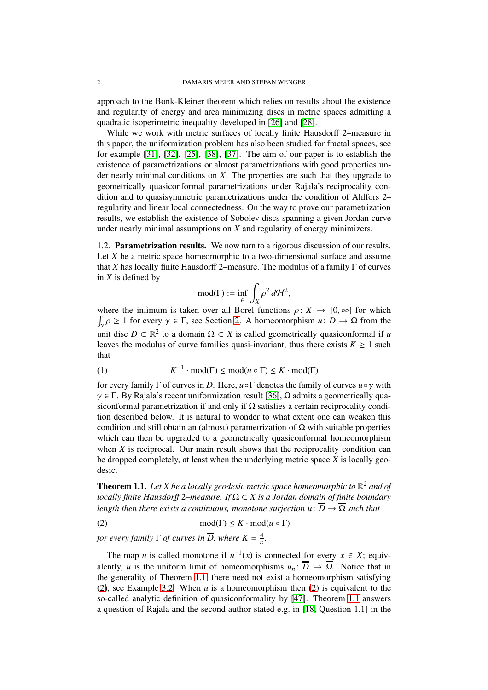approach to the Bonk-Kleiner theorem which relies on results about the existence and regularity of energy and area minimizing discs in metric spaces admitting a quadratic isoperimetric inequality developed in [\[26\]](#page-18-5) and [\[28\]](#page-18-6).

While we work with metric surfaces of locally finite Hausdorff 2–measure in this paper, the uniformization problem has also been studied for fractal spaces, see for example [\[31\]](#page-18-7), [\[32\]](#page-18-8), [\[25\]](#page-17-3), [\[38\]](#page-18-9), [\[37\]](#page-18-10). The aim of our paper is to establish the existence of parametrizations or almost parametrizations with good properties under nearly minimal conditions on *X*. The properties are such that they upgrade to geometrically quasiconformal parametrizations under Rajala's reciprocality condition and to quasisymmetric parametrizations under the condition of Ahlfors 2– regularity and linear local connectedness. On the way to prove our parametrization results, we establish the existence of Sobolev discs spanning a given Jordan curve under nearly minimal assumptions on *X* and regularity of energy minimizers.

1.2. Parametrization results. We now turn to a rigorous discussion of our results. Let *X* be a metric space homeomorphic to a two-dimensional surface and assume that *X* has locally finite Hausdorff 2–measure. The modulus of a family  $\Gamma$  of curves in *X* is defined by

$$
\mathrm{mod}(\Gamma) := \inf_{\rho} \int_X \rho^2 \, d\mathcal{H}^2,
$$

where the infimum is taken over all Borel functions  $\rho: X \to [0, \infty]$  for which  $\int_{\gamma} \rho \ge 1$  for every  $\gamma \in \Gamma$ , see Section [2.](#page-4-0) A homeomorphism *u*:  $D \to \Omega$  from the unit disc  $D \subset \mathbb{R}^2$  to a domain  $\Omega \subset X$  is called geometrically quasiconformal if *u* leaves the modulus of curve families quasi-invariant, thus there exists  $K \geq 1$  such that

(1) 
$$
K^{-1} \cdot \text{mod}(\Gamma) \le \text{mod}(u \circ \Gamma) \le K \cdot \text{mod}(\Gamma)
$$

for every family <sup>Γ</sup> of curves in *<sup>D</sup>*. Here, *<sup>u</sup>*◦<sup>Γ</sup> denotes the family of curves *<sup>u</sup>*◦<sup>γ</sup> with  $\gamma \in \Gamma$ . By Rajala's recent uniformization result [\[36\]](#page-18-0),  $\Omega$  admits a geometrically quasiconformal parametrization if and only if  $\Omega$  satisfies a certain reciprocality condition described below. It is natural to wonder to what extent one can weaken this condition and still obtain an (almost) parametrization of  $\Omega$  with suitable properties which can then be upgraded to a geometrically quasiconformal homeomorphism when *X* is reciprocal. Our main result shows that the reciprocality condition can be dropped completely, at least when the underlying metric space *X* is locally geodesic.

<span id="page-1-0"></span>**Theorem 1.1.** Let X be a locally geodesic metric space homeomorphic to  $\mathbb{R}^2$  and of *locally finite Hausdor*ff <sup>2</sup>*–measure. If* <sup>Ω</sup> <sup>⊂</sup> *X is a Jordan domain of finite boundary length then there exists a continuous, monotone surjection*  $u: \overline{D} \to \overline{\Omega}$  *such that* 

<span id="page-1-1"></span>(2)  $\text{mod}(\Gamma) \leq K \cdot \text{mod}(u \circ \Gamma)$ 

*for every family*  $\Gamma$  *of curves in*  $\overline{D}$ *, where*  $K = \frac{4}{\pi}$ *.* 

The map *u* is called monotone if  $u^{-1}(x)$  is connected <u>for every</u>  $x \in X$ ; equivalently, *u* is the uniform limit of homeomorphisms  $u_n: \overline{D} \to \overline{\Omega}$ . Notice that in the generality of Theorem [1.1,](#page-1-0) there need not exist a homeomorphism satisfying [\(2\)](#page-1-1), see Example [3.2.](#page-7-0) When *u* is a homeomorphism then [\(2\)](#page-1-1) is equivalent to the so-called analytic definition of quasiconformality by [\[47\]](#page-18-11). Theorem [1.1](#page-1-0) answers a question of Rajala and the second author stated e.g. in [\[18,](#page-17-4) Question 1.1] in the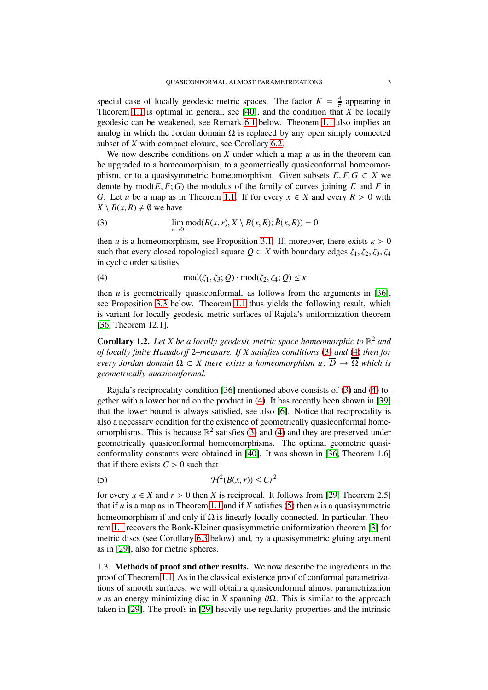special case of locally geodesic metric spaces. The factor  $K = \frac{4}{\pi}$  appearing in Theorem [1.1](#page-1-0) is optimal in general, see [\[40\]](#page-18-12), and the condition that *X* be locally geodesic can be weakened, see Remark [6.1](#page-15-0) below. Theorem [1.1](#page-1-0) also implies an analog in which the Jordan domain  $\Omega$  is replaced by any open simply connected subset of *X* with compact closure, see Corollary [6.2.](#page-16-0)

We now describe conditions on  $X$  under which a map  $u$  as in the theorem can be upgraded to a homeomorphism, to a geometrically quasiconformal homeomorphism, or to a quasisymmetric homeomorphism. Given subsets  $E, F, G \subset X$  we denote by  $\text{mod}(E, F; G)$  the modulus of the family of curves joining *E* and *F* in *G*. Let *u* be a map as in Theorem [1.1.](#page-1-0) If for every  $x \in X$  and every  $R > 0$  with  $X \setminus B(x, R) \neq \emptyset$  we have

<span id="page-2-0"></span>(3) 
$$
\lim_{r \to 0} \text{mod}(B(x, r), X \setminus B(x, R); \overline{B}(x, R)) = 0
$$

then *u* is a homeomorphism, see Proposition [3.1.](#page-6-1) If, moreover, there exists  $\kappa > 0$ such that every closed topological square  $Q \subset X$  with boundary edges  $\zeta_1, \zeta_2, \zeta_3, \zeta_4$ in cyclic order satisfies

<span id="page-2-1"></span>(4) 
$$
\text{mod}(\zeta_1,\zeta_3;Q)\cdot\text{mod}(\zeta_2,\zeta_4;Q)\leq\kappa
$$

then  $u$  is geometrically quasiconformal, as follows from the arguments in [\[36\]](#page-18-0), see Proposition [3.3](#page-7-1) below. Theorem [1.1](#page-1-0) thus yields the following result, which is variant for locally geodesic metric surfaces of Rajala's uniformization theorem [\[36,](#page-18-0) Theorem 12.1].

<span id="page-2-3"></span>**Corollary 1.2.** Let X be a locally geodesic metric space homeomorphic to  $\mathbb{R}^2$  and *of locally finite Hausdor*ff 2*–measure. If X satisfies conditions* [\(3\)](#page-2-0) *and* [\(4\)](#page-2-1) *then for every Jordan domain*  $\Omega \subset X$  *there exists a homeomorphism*  $u: \overline{D} \to \overline{\Omega}$  *which is geometrically quasiconformal.*

Rajala's reciprocality condition [\[36\]](#page-18-0) mentioned above consists of [\(3\)](#page-2-0) and [\(4\)](#page-2-1) together with a lower bound on the product in [\(4\)](#page-2-1). It has recently been shown in [\[39\]](#page-18-13) that the lower bound is always satisfied, see also [\[6\]](#page-17-5). Notice that reciprocality is also a necessary condition for the existence of geometrically quasiconformal homeomorphisms. This is because  $\mathbb{R}^2$  satisfies [\(3\)](#page-2-0) and [\(4\)](#page-2-1) and they are preserved under geometrically quasiconformal homeomorphisms. The optimal geometric quasiconformality constants were obtained in [\[40\]](#page-18-12). It was shown in [\[36,](#page-18-0) Theorem 1.6] that if there exists  $C > 0$  such that

<span id="page-2-2"></span>
$$
(5) \t\t\t\t\mathcal{H}^2(B(x,r)) \le Cr^2
$$

for every  $x \in X$  and  $r > 0$  then *X* is reciprocal. It follows from [\[29,](#page-18-4) Theorem 2.5] that if  $u$  is a map as in Theorem [1.1](#page-1-0) and if  $X$  satisfies [\(5\)](#page-2-2) then  $u$  is a quasisymmetric homeomorphism if and only if  $\overline{\Omega}$  is linearly locally connected. In particular, Theorem [1.1](#page-1-0) recovers the Bonk-Kleiner quasisymmetric uniformization theorem [\[3\]](#page-17-0) for metric discs (see Corollary [6.3](#page-16-1) below) and, by a quasisymmetric gluing argument as in [\[29\]](#page-18-4), also for metric spheres.

1.3. Methods of proof and other results. We now describe the ingredients in the proof of Theorem [1.1.](#page-1-0) As in the classical existence proof of conformal parametrizations of smooth surfaces, we will obtain a quasiconformal almost parametrization *u* as an energy minimizing disc in *X* spanning  $\partial\Omega$ . This is similar to the approach taken in [\[29\]](#page-18-4). The proofs in [\[29\]](#page-18-4) heavily use regularity properties and the intrinsic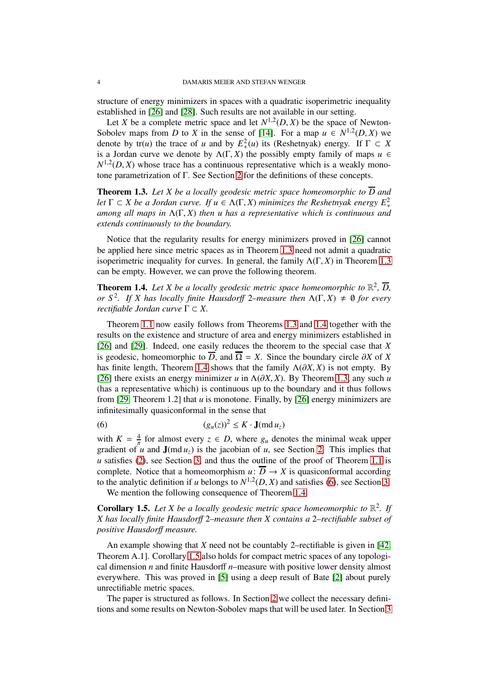structure of energy minimizers in spaces with a quadratic isoperimetric inequality established in [\[26\]](#page-18-5) and [\[28\]](#page-18-6). Such results are not available in our setting.

Let *X* be a complete metric space and let  $N^{1,2}(D, X)$  be the space of Newton-Sobolev maps from *D* to *X* in the sense of [\[14\]](#page-17-6). For a map  $u \in N^{1,2}(D, X)$  we denote by  $tr(u)$  the trace of *u* and by  $E_+^2(u)$  its (Reshetnyak) energy. If  $\Gamma \subset X$ is a Jordan curve we denote by  $\Lambda(\Gamma, X)$  the possibly empty family of maps  $u \in$  $N^{1,2}(D, X)$  whose trace has a continuous representative which is a weakly monotone parametrization of Γ. See Section [2](#page-4-0) for the definitions of these concepts.

<span id="page-3-0"></span>**Theorem 1.3.** Let X be a locally geodesic metric space homeomorphic to  $\overline{D}$  and *let*  $\Gamma \subset X$  *be a Jordan curve. If*  $u \in \Lambda(\Gamma, X)$  *minimizes the Reshetnyak energy*  $E^2_+$ *among all maps in* Λ(Γ, *X*) *then u has a representative which is continuous and extends continuously to the boundary.*

Notice that the regularity results for energy minimizers proved in [\[26\]](#page-18-5) cannot be applied here since metric spaces as in Theorem [1.3](#page-3-0) need not admit a quadratic isoperimetric inequality for curves. In general, the family  $\Lambda(\Gamma, X)$  in Theorem [1.3](#page-3-0) can be empty. However, we can prove the following theorem.

<span id="page-3-1"></span>**Theorem 1.4.** Let X be a locally geodesic metric space homeomorphic to  $\mathbb{R}^2$ ,  $\overline{D}$ , *or*  $S^2$ . If X has locally finite Hausdorff 2–measure then  $\Lambda(\Gamma, X) \neq \emptyset$  for every *rectifiable Jordan curve* <sup>Γ</sup> <sup>⊂</sup> *X.*

Theorem [1.1](#page-1-0) now easily follows from Theorems [1.3](#page-3-0) and [1.4](#page-3-1) together with the results on the existence and structure of area and energy minimizers established in [\[26\]](#page-18-5) and [\[29\]](#page-18-4). Indeed, one easily reduces the theorem to the special case that *X* is geodesic, homeomorphic to  $\overline{D}$ , and  $\overline{\Omega} = X$ . Since the boundary circle  $\partial X$  of *X* has finite length, Theorem [1.4](#page-3-1) shows that the family  $\Lambda(\partial X, X)$  is not empty. By [\[26\]](#page-18-5) there exists an energy minimizer  $u$  in  $\Lambda(\partial X, X)$ . By Theorem [1.3,](#page-3-0) any such  $u$ (has a representative which) is continuous up to the boundary and it thus follows from [\[29,](#page-18-4) Theorem 1.2] that *u* is monotone. Finally, by [\[26\]](#page-18-5) energy minimizers are infinitesimally quasiconformal in the sense that

<span id="page-3-2"></span>(6) 
$$
(g_u(z))^2 \leq K \cdot \mathbf{J}(\text{md }u_z)
$$

with  $K = \frac{4}{\pi}$  for almost every  $z \in D$ , where  $g_u$  denotes the minimal weak upper gradient of  $\hat{u}$  and  $\mathbf{J}(\text{md }u_7)$  is the jacobian of  $u$ , see Section [2.](#page-4-0) This implies that *u* satisfies [\(2\)](#page-1-1), see Section [3,](#page-6-0) and thus the outline of the proof of Theorem [1.1](#page-1-0) is complete. Notice that a homeomorphism  $u: \overline{D} \to X$  is quasiconformal according to the analytic definition if *u* belongs to  $N^{1,2}(D, X)$  and satisfies [\(6\)](#page-3-2), see Section [3.](#page-6-0) We mention the following consequence of Theorem [1.4.](#page-3-1)

<span id="page-3-3"></span>**Corollary 1.5.** Let X be a locally geodesic metric space homeomorphic to  $\mathbb{R}^2$ . If *X has locally finite Hausdor*ff 2*–measure then X contains a* 2*–rectifiable subset of positive Hausdor*ff *measure.*

An example showing that *X* need not be countably 2–rectifiable is given in [\[42,](#page-18-14) Theorem A.1]. Corollary [1.5](#page-3-3) also holds for compact metric spaces of any topological dimension *n* and finite Hausdorff *n*–measure with positive lower density almost everywhere. This was proved in [\[5\]](#page-17-7) using a deep result of Bate [\[2\]](#page-17-8) about purely unrectifiable metric spaces.

The paper is structured as follows. In Section [2](#page-4-0) we collect the necessary definitions and some results on Newton-Sobolev maps that will be used later. In Section [3](#page-6-0)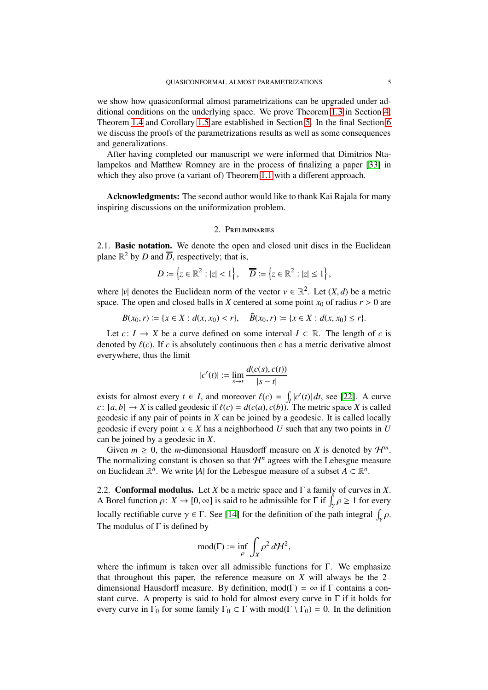we show how quasiconformal almost parametrizations can be upgraded under additional conditions on the underlying space. We prove Theorem [1.3](#page-3-0) in Section [4;](#page-8-0) Theorem [1.4](#page-3-1) and Corollary [1.5](#page-3-3) are established in Section [5.](#page-11-0) In the final Section [6](#page-15-1) we discuss the proofs of the parametrizations results as well as some consequences and generalizations.

After having completed our manuscript we were informed that Dimitrios Ntalampekos and Matthew Romney are in the process of finalizing a paper [\[33\]](#page-18-15) in which they also prove (a variant of) Theorem [1.1](#page-1-0) with a different approach.

<span id="page-4-0"></span>Acknowledgments: The second author would like to thank Kai Rajala for many inspiring discussions on the uniformization problem.

### 2. Preliminaries

2.1. Basic notation. We denote the open and closed unit discs in the Euclidean plane  $\mathbb{R}^2$  by *D* and  $\overline{D}$ , respectively; that is,

$$
D \coloneqq \left\{ z \in \mathbb{R}^2 : |z| < 1 \right\}, \quad \overline{D} \coloneqq \left\{ z \in \mathbb{R}^2 : |z| \leq 1 \right\},
$$

where |*v*| denotes the Euclidean norm of the vector  $v \in \mathbb{R}^2$ . Let  $(X, d)$  be a metric space. The open and closed balls in *X* centered at some point  $x_0$  of radius  $r > 0$  are

$$
B(x_0, r) \coloneqq \{x \in X : d(x, x_0) < r\}, \quad \bar{B}(x_0, r) \coloneqq \{x \in X : d(x, x_0) \le r\}.
$$

Let  $c: I \to X$  be a curve defined on some interval  $I \subset \mathbb{R}$ . The length of *c* is denoted by  $\ell(c)$ . If *c* is absolutely continuous then *c* has a metric derivative almost everywhere, thus the limit

$$
|c'(t)| := \lim_{s \to t} \frac{d(c(s), c(t))}{|s - t|}
$$

exists for almost every  $t \in I$ , and moreover  $\ell(c) = \int_I |c'(t)| dt$ , see [\[22\]](#page-17-9). A curve *c*:  $[a, b] \rightarrow X$  is called geodesic if  $\ell(c) = d(c(a), c(b))$ . The metric space *X* is called geodesic if any pair of points in *X* can be joined by a geodesic. It is called locally geodesic if every point  $x \in X$  has a neighborhood *U* such that any two points in *U* can be joined by a geodesic in *X*.

Given  $m \geq 0$ , the *m*-dimensional Hausdorff measure on *X* is denoted by  $\mathcal{H}^m$ . The normalizing constant is chosen so that  $\mathcal{H}^n$  agrees with the Lebesgue measure on Euclidean  $\mathbb{R}^n$ . We write |*A*| for the Lebesgue measure of a subset  $A \subset \mathbb{R}^n$ .

2.2. Conformal modulus. Let *X* be a metric space and Γ a family of curves in *X*. A Borel function  $\rho: X \to [0, \infty]$  is said to be admissible for  $\Gamma$  if  $\int_{\gamma} \rho \ge 1$  for every locally rectifiable curve  $\gamma \in \Gamma$ . See [\[14\]](#page-17-6) for the definition of the path integral  $\int_{\gamma} \rho$ . The modulus of  $\Gamma$  is defined by

$$
\mathrm{mod}(\Gamma) := \inf_{\rho} \int_X \rho^2 \, d\mathcal{H}^2,
$$

where the infimum is taken over all admissible functions for Γ. We emphasize that throughout this paper, the reference measure on *X* will always be the 2– dimensional Hausdorff measure. By definition, mod( $\Gamma$ ) =  $\infty$  if  $\Gamma$  contains a constant curve. A property is said to hold for almost every curve in Γ if it holds for every curve in  $\Gamma_0$  for some family  $\Gamma_0 \subset \Gamma$  with mod( $\Gamma \setminus \Gamma_0$ ) = 0. In the definition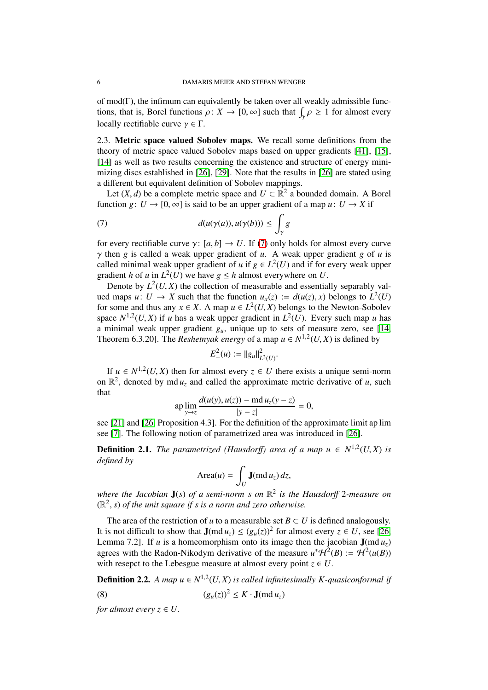of mod(Γ), the infimum can equivalently be taken over all weakly admissible functions, that is, Borel functions  $\rho: X \to [0, \infty]$  such that  $\int_{\gamma} \rho \ge 1$  for almost every locally rectifiable curve  $\gamma \in \Gamma$ .

2.3. Metric space valued Sobolev maps. We recall some definitions from the theory of metric space valued Sobolev maps based on upper gradients [\[41\]](#page-18-16), [\[15\]](#page-17-10), [\[14\]](#page-17-6) as well as two results concerning the existence and structure of energy minimizing discs established in [\[26\]](#page-18-5), [\[29\]](#page-18-4). Note that the results in [\[26\]](#page-18-5) are stated using a different but equivalent definition of Sobolev mappings.

Let  $(X, d)$  be a complete metric space and  $U \subset \mathbb{R}^2$  a bounded domain. A Borel function *g*:  $U \rightarrow [0, \infty]$  is said to be an upper gradient of a map *u*:  $U \rightarrow X$  if

<span id="page-5-0"></span>(7) 
$$
d(u(\gamma(a)), u(\gamma(b))) \leq \int_{\gamma} g
$$

for every rectifiable curve  $\gamma$ : [a, b]  $\rightarrow$  U. If [\(7\)](#page-5-0) only holds for almost every curve  $\gamma$  then *g* is called a weak upper gradient of *u*. A weak upper gradient *g* of *u* is called minimal weak upper gradient of *u* if  $g \in L^2(U)$  and if for every weak upper gradient *h* of *u* in  $L^2(U)$  we have  $g \leq h$  almost everywhere on *U*.

Denote by  $L^2(U, X)$  the collection of measurable and essentially separably valued maps  $u: U \to X$  such that the function  $u_x(z) := d(u(z), x)$  belongs to  $L^2(U)$ for some and thus any  $x \in X$ . A map  $u \in L^2(U, X)$  belongs to the Newton-Sobolev space  $N^{1,2}(U, X)$  if *u* has a weak upper gradient in  $L^2(U)$ . Every such map *u* has a minimal weak upper gradient  $g_{\mu}$ , unique up to sets of measure zero, see [\[14,](#page-17-6) Theorem 6.3.20]. The *Reshetnyak energy* of a map  $u \in N^{1,2}(U, X)$  is defined by

$$
E_{+}^{2}(u):=||g_{u}||_{L^{2}(U)}^{2}.
$$

If *u* ∈  $N^{1,2}(U, X)$  then for almost every  $z \in U$  there exists a unique semi-norm on  $\mathbb{R}^2$ , denoted by md  $u_z$  and called the approximate metric derivative of *u*, such that

$$
\text{ap} \lim_{y \to z} \frac{d(u(y), u(z)) - \text{md} \, u_z(y - z)}{|y - z|} = 0,
$$

see [\[21\]](#page-17-11) and [\[26,](#page-18-5) Proposition 4.3]. For the definition of the approximate limit ap lim see [\[7\]](#page-17-12). The following notion of parametrized area was introduced in [\[26\]](#page-18-5).

**Definition 2.1.** *The parametrized (Hausdorff) area of a map*  $u \in N^{1,2}(U,X)$  *is defined by*

$$
\text{Area}(u) = \int_U \mathbf{J}(\text{md }u_z) \, dz,
$$

*where the Jacobian* J(*s*) *of a semi-norm s on* R 2 *is the Hausdor*ff 2*-measure on*  $(\mathbb{R}^2, s)$  *of the unit square if s is a norm and zero otherwise.* 

The area of the restriction of *u* to a measurable set  $B \subset U$  is defined analogously. It is not difficult to show that  $J(md u_z) \le (g_u(z))^2$  for almost every  $z \in U$ , see [\[26,](#page-18-5) Lemma 7.2]. If *u* is a homeomorphism onto its image then the jacobian  $J(md u<sub>z</sub>)$ agrees with the Radon-Nikodym derivative of the measure  $u^*H^2(B) := H^2(u(B))$ with resepct to the Lebesgue measure at almost every point  $z \in U$ .

**Definition 2.2.** A map  $u \in N^{1,2}(U,X)$  is called infinitesimally K-quasiconformal if (8)  $(g_u(z))^2 \le K \cdot \mathbf{J}(\text{md } u_z)$ 

*for almost every*  $z \in U$ .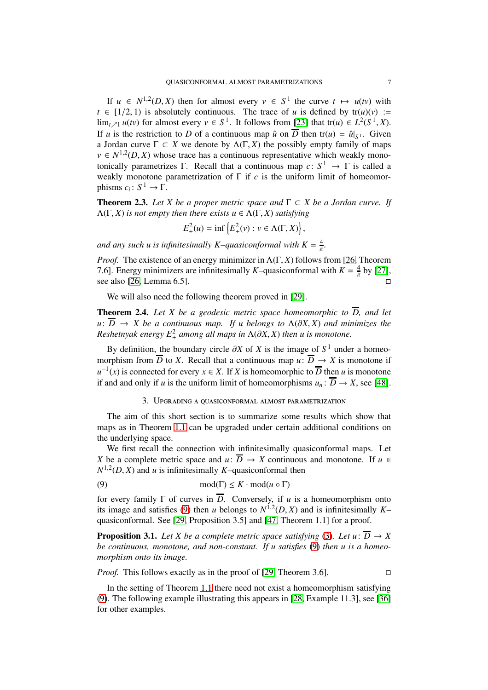If  $u \in N^{1,2}(D, X)$  then for almost every  $v \in S^1$  the curve  $t \mapsto u(tv)$  with  $t \in [1/2, 1)$  is absolutely continuous. The trace of *u* is defined by  $tr(u)(v) :=$  $\lim_{t \nearrow 1} u(tv)$  for almost every  $v \in S^1$ . It follows from [\[23\]](#page-17-13) that tr(*u*)  $\in L^2(S^1, X)$ . If *u* is the restriction to *D* of a continuous map  $\hat{u}$  on  $\overline{D}$  then tr(*u*) =  $\hat{u}|_{S^1}$ . Given a Jordan curve  $\Gamma \subset X$  we denote by  $\Lambda(\Gamma, X)$  the possibly empty family of maps  $v \in N^{1,2}(D,X)$  whose trace has a continuous representative which weakly monotonically parametrizes Γ. Recall that a continuous map  $c: S^1 \to \Gamma$  is called a weakly monotone parametrization of  $\Gamma$  if  $c$  is the uniform limit of homeomorphisms  $c_i: S^1 \to \Gamma$ .

<span id="page-6-3"></span>**Theorem 2.3.** Let X be a proper metric space and  $\Gamma \subset X$  be a Jordan curve. If  $\Lambda(\Gamma, X)$  *is not empty then there exists*  $u \in \Lambda(\Gamma, X)$  *satisfying* 

$$
E_+^2(u) = \inf \left\{ E_+^2(v) : v \in \Lambda(\Gamma, X) \right\},\
$$

and any such *u* is infinitesimally *K*-quasiconformal with  $K = \frac{4}{\pi}$ .

*Proof.* The existence of an energy minimizer in  $\Lambda(\Gamma, X)$  follows from [\[26,](#page-18-5) Theorem 7.6]. Energy minimizers are infinitesimally *K*–quasiconformal with  $K = \frac{4}{\pi}$  by [\[27\]](#page-18-17), see also [\[26,](#page-18-5) Lemma 6.5].

We will also need the following theorem proved in [\[29\]](#page-18-4).

<span id="page-6-4"></span>**Theorem 2.4.** Let X be a geodesic metric space homeomorphic to  $\overline{D}$ , and let  $u: \overline{D} \rightarrow X$  be a continuous map. If u belongs to  $\Lambda(\partial X, X)$  and minimizes the *Reshetnyak energy*  $E_+^2$  *among all maps in*  $\Lambda(\partial X, X)$  *then u is monotone.* 

By definition, the boundary circle  $\partial X$  of *X* is the image of  $S<sup>1</sup>$  under a homeomorphism from  $\overline{D}$  to *X*. Recall that a continuous map  $\overline{u}$ :  $\overline{D} \rightarrow X$  is monotone if  $u^{-1}(x)$  is connected for every  $x \in X$ . If *X* is homeomorphic to *D* then *u* is monotone if and and only if *u* is the uniform limit of homeomorphisms  $u_n : \overline{D} \to X$ , see [\[48\]](#page-18-18).

## <span id="page-6-2"></span>3. Upgrading a quasiconformal almost parametrization

<span id="page-6-0"></span>The aim of this short section is to summarize some results which show that maps as in Theorem [1.1](#page-1-0) can be upgraded under certain additional conditions on the underlying space.

We first recall the connection with infinitesimally quasiconformal maps. Let *X* be a complete metric space and *u*:  $\overline{D} \rightarrow X$  continuous and monotone. If *u* ∈  $N^{1,2}(D, X)$  and *u* is infinitesimally *K*–quasiconformal then

(9) 
$$
\text{mod}(\Gamma) \leq K \cdot \text{mod}(u \circ \Gamma)
$$

for every family  $\Gamma$  of curves in  $\overline{D}$ . Conversely, if *u* is a homeomorphism onto its image and satisfies [\(9\)](#page-6-2) then *u* belongs to  $N^{1,2}(D, X)$  and is infinitesimally Kquasiconformal. See [\[29,](#page-18-4) Proposition 3.5] and [\[47,](#page-18-11) Theorem 1.1] for a proof.

<span id="page-6-1"></span>**Proposition 3.1.** Let X be a complete metric space satisfying [\(3\)](#page-2-0). Let  $u: \overline{D} \to X$ *be continuous, monotone, and non-constant. If u satisfies* [\(9\)](#page-6-2) *then u is a homeomorphism onto its image.*

*Proof.* This follows exactly as in the proof of [\[29,](#page-18-4) Theorem 3.6].

In the setting of Theorem [1.1](#page-1-0) there need not exist a homeomorphism satisfying [\(9\)](#page-6-2). The following example illustrating this appears in [\[28,](#page-18-6) Example 11.3], see [\[36\]](#page-18-0) for other examples.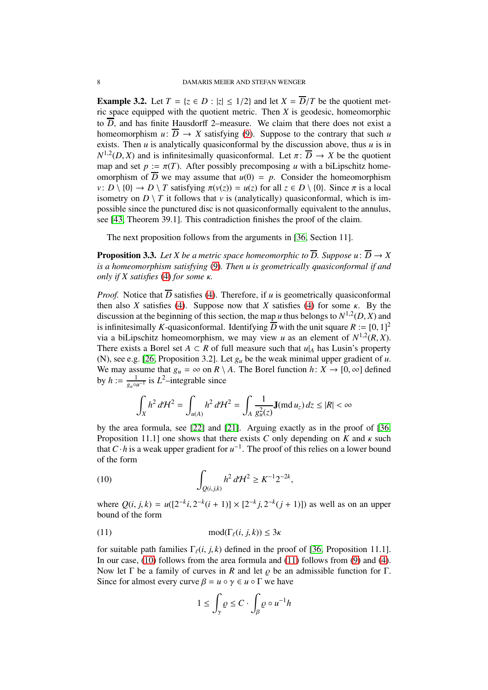<span id="page-7-0"></span>**Example 3.2.** Let  $T = \{z \in D : |z| \leq 1/2\}$  and let  $X = \overline{D}/T$  be the quotient metric space equipped with the quotient metric. Then *X* is geodesic, homeomorphic to  $\overline{D}$ , and has finite Hausdorff 2–measure. We claim that there does not exist a homeomorphism  $u: \overline{D} \to X$  satisfying [\(9\)](#page-6-2). Suppose to the contrary that such *u* exists. Then  $u$  is analytically quasiconformal by the discussion above, thus  $u$  is in  $N^{1,2}(D, X)$  and is infinitesimally quasiconformal. Let  $\pi \colon \overline{D} \to X$  be the quotient map and set  $p := \pi(T)$ . After possibly precomposing *u* with a biLipschitz homeomorphism of  $\overline{D}$  we may assume that  $u(0) = p$ . Consider the homeomorphism *v*: *D* \ {0}  $\rightarrow$  *D* \ *T* satisfying  $\pi(v(z)) = u(z)$  for all  $z \in D \setminus \{0\}$ . Since  $\pi$  is a local isometry on  $D \setminus T$  it follows that  $\nu$  is (analytically) quasiconformal, which is impossible since the punctured disc is not quasiconformally equivalent to the annulus, see [\[43,](#page-18-19) Theorem 39.1]. This contradiction finishes the proof of the claim.

The next proposition follows from the arguments in [\[36,](#page-18-0) Section 11].

<span id="page-7-1"></span>**Proposition 3.3.** Let X be a metric space homeomorphic to  $\overline{D}$ . Suppose  $u: \overline{D} \to X$ *is a homeomorphism satisfying* [\(9\)](#page-6-2)*. Then u is geometrically quasiconformal if and only if X satisfies* [\(4\)](#page-2-1) *for some* κ*.*

*Proof.* Notice that  $\overline{D}$  satisfies [\(4\)](#page-2-1). Therefore, if *u* is geometrically quasiconformal then also *X* satisfies [\(4\)](#page-2-1). Suppose now that *X* satisfies [\(4\)](#page-2-1) for some  $\kappa$ . By the discussion at the beginning of this section, the map *u* thus belongs to  $N^{1,2}(D, X)$  and is infinitesimally *K*-quasiconformal. Identifying  $\overline{D}$  with the unit square  $R := [0, 1]^2$ via a biLipschitz homeomorphism, we may view *u* as an element of  $N^{1,2}(R, X)$ . There exists a Borel set  $A \subset R$  of full measure such that  $u|_A$  has Lusin's property (N), see e.g. [\[26,](#page-18-5) Proposition 3.2]. Let *g<sup>u</sup>* be the weak minimal upper gradient of *u*. We may assume that  $g_u = \infty$  on  $R \setminus A$ . The Borel function  $h: X \to [0, \infty]$  defined by  $h := \frac{1}{a}$  $\frac{1}{g_u \circ u^{-1}}$  is *L*<sup>2</sup>–integrable since

$$
\int_X h^2 d\mathcal{H}^2 = \int_{u(A)} h^2 d\mathcal{H}^2 = \int_A \frac{1}{g_u^2(z)} \mathbf{J}(\text{md } u_z) dz \le |R| < \infty
$$

by the area formula, see [\[22\]](#page-17-9) and [\[21\]](#page-17-11). Arguing exactly as in the proof of [\[36,](#page-18-0) Proposition 11.1] one shows that there exists *C* only depending on *K* and  $\kappa$  such that *C*·*h* is a weak upper gradient for  $u^{-1}$ . The proof of this relies on a lower bound of the form

<span id="page-7-2"></span>(10) 
$$
\int_{Q(i,j,k)} h^2 d\mathcal{H}^2 \geq K^{-1} 2^{-2k},
$$

where  $Q(i, j, k) = u([2^{-k}i, 2^{-k}(i+1)] \times [2^{-k}j, 2^{-k}(j+1)])$  as well as on an upper bound of the form

$$
\text{mod}(\Gamma_{\ell}(i,j,k)) \le 3\kappa
$$

for suitable path families  $\Gamma_{\ell}(i, j, k)$  defined in the proof of [\[36,](#page-18-0) Proposition 11.1]. In our case, [\(10\)](#page-7-2) follows from the area formula and [\(11\)](#page-7-3) follows from [\(9\)](#page-6-2) and [\(4\)](#page-2-1). Now let  $\Gamma$  be a family of curves in *R* and let  $\rho$  be an admissible function for  $\Gamma$ . Since for almost every curve  $\beta = u \circ \gamma \in u \circ \Gamma$  we have

<span id="page-7-3"></span>
$$
1 \le \int_{\gamma} \varrho \le C \cdot \int_{\beta} \varrho \circ u^{-1} h
$$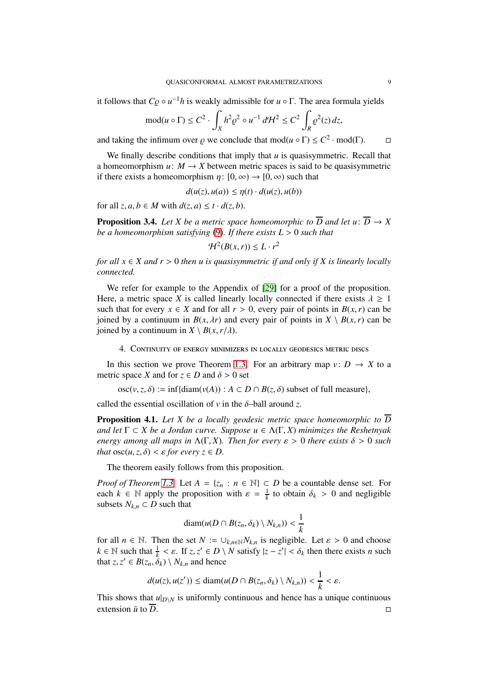it follows that  $C_{\mathcal{Q}} \circ u^{-1}h$  is weakly admissible for  $u \circ \Gamma$ . The area formula yields

$$
\operatorname{mod}(u \circ \Gamma) \le C^2 \cdot \int_X h^2 \varrho^2 \circ u^{-1} d\mathcal{H}^2 \le C^2 \int_R \varrho^2(z) dz,
$$

and taking the infimum over  $\varrho$  we conclude that mod $(u \circ \Gamma) \le C^2 \cdot \text{mod}(\Gamma)$ .  $\Box$ 

We finally describe conditions that imply that *u* is quasisymmetric. Recall that a homeomorphism  $u: M \to X$  between metric spaces is said to be quasisymmetric if there exists a homeomorphism  $\eta: [0, \infty) \to [0, \infty)$  such that

$$
d(u(z), u(a)) \leq \eta(t) \cdot d(u(z), u(b))
$$

for all  $z, a, b \in M$  with  $d(z, a) \le t \cdot d(z, b)$ .

<span id="page-8-2"></span>**Proposition 3.4.** Let X be a metric space homeomorphic to  $\overline{D}$  and let  $u: \overline{D} \to X$ *be a homeomorphism satisfying* [\(9\)](#page-6-2)*. If there exists L* > 0 *such that*

$$
\mathcal{H}^2(B(x,r)) \leq L \cdot r^2
$$

*for all*  $x \in X$  *and*  $r > 0$  *then u is quasisymmetric if and only if* X *is linearly locally connected.*

We refer for example to the Appendix of [\[29\]](#page-18-4) for a proof of the proposition. Here, a metric space *X* is called linearly locally connected if there exists  $\lambda \geq 1$ such that for every  $x \in X$  and for all  $r > 0$ , every pair of points in  $B(x, r)$  can be joined by a continuum in  $B(x, \lambda r)$  and every pair of points in  $X \setminus B(x, r)$  can be joined by a continuum in  $X \setminus B(x, r/\lambda)$ .

<span id="page-8-0"></span>4. Continuity of energy minimizers in locally geodesics metric discs

In this section we prove Theorem [1.3.](#page-3-0) For an arbitrary map  $v: D \to X$  to a metric space *X* and for  $z \in D$  and  $\delta > 0$  set

 $\operatorname{osc}(v, z, \delta) := \inf \{ \operatorname{diam}(v(A)) : A \subset D \cap B(z, \delta) \text{ subset of full measure} \},$ 

called the essential oscillation of  $\nu$  in the  $\delta$ -ball around *z*.

<span id="page-8-1"></span>**Proposition 4.1.** Let X be a locally geodesic metric space homeomorphic to  $\overline{D}$ *and let*  $\Gamma \subset X$  *be a Jordan curve. Suppose*  $u \in \Lambda(\Gamma, X)$  *minimizes the Reshetnyak energy among all maps in*  $\Lambda(\Gamma, X)$ *. Then for every*  $\varepsilon > 0$  *there exists*  $\delta > 0$  *such that*  $\operatorname{osc}(u, z, \delta) < \varepsilon$  *for every*  $z \in D$ .

The theorem easily follows from this proposition.

*Proof of Theorem [1.3.](#page-3-0)* Let  $A = \{z_n : n \in \mathbb{N}\}\subset D$  be a countable dense set. For each  $k \in \mathbb{N}$  apply the proposition with  $\varepsilon = \frac{1}{k}$  to obtain  $\delta_k > 0$  and negligible subsets  $N_{k,n} \subset D$  such that

$$
\text{diam}(u(D \cap B(z_n, \delta_k) \setminus N_{k,n})) < \frac{1}{k}
$$

for all  $n \in \mathbb{N}$ . Then the set  $N := \bigcup_{k,n \in \mathbb{N}} N_{k,n}$  is negligible. Let  $\varepsilon > 0$  and choose  $k \in \mathbb{N}$  such that  $\frac{1}{k} < \varepsilon$ . If  $z, z' \in D \setminus N$  satisfy  $|z - z'| < \delta_k$  then there exists *n* such that  $z, z' \in B(z_n, \delta_k) \setminus N_{k,n}$  and hence

$$
d(u(z),u(z')) \leq \text{diam}(u(D \cap B(z_n,\delta_k) \setminus N_{k,n})) < \frac{1}{k} < \varepsilon.
$$

This shows that  $u|_{D\setminus N}$  is uniformly continuous and hence has a unique continuous extension  $\bar{u}$  to  $\bar{D}$ .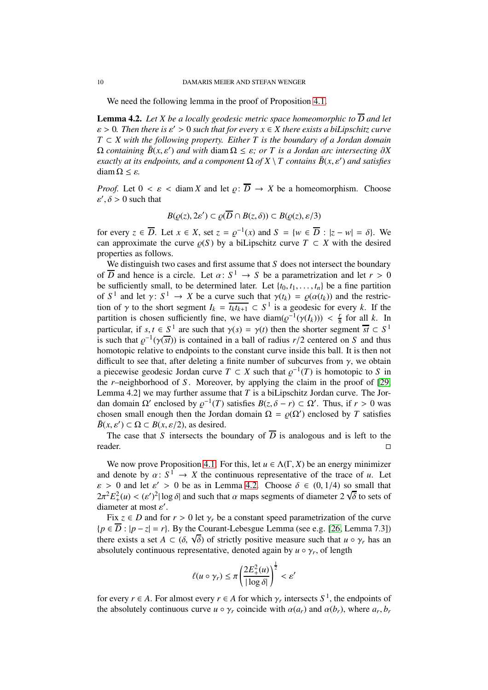We need the following lemma in the proof of Proposition [4.1.](#page-8-1)

<span id="page-9-0"></span>**Lemma 4.2.** Let X be a locally geodesic metric space homeomorphic to  $\overline{D}$  and let ε > 0*. Then there is* ε ′ > 0 *such that for every x* ∈ *X there exists a biLipschitz curve*  $T \subset X$  with the following property. Either T is the boundary of a Jordan domain  $\Omega$  *containing*  $\bar{B}(x, \varepsilon')$  *and with* diam  $\Omega \leq \varepsilon$ *; or T is a Jordan arc intersecting*  $\partial X$ *exactly at its endpoints, and a component*  $\Omega$  *of*  $X \setminus T$  *contains*  $\bar{B}(x, \varepsilon')$  *and satisfies* diam  $\Omega \leq \varepsilon$ .

*Proof.* Let  $0 < \varepsilon <$  diam *X* and let  $\rho: \overline{D} \to X$  be a homeomorphism. Choose  $\varepsilon', \delta > 0$  such that

$$
B(\varrho(z), 2\varepsilon') \subset \varrho(\overline{D} \cap B(z, \delta)) \subset B(\varrho(z), \varepsilon/3)
$$

for every  $z \in \overline{D}$ . Let  $x \in X$ , set  $z = \varrho^{-1}(x)$  and  $S = \{w \in \overline{D} : |z - w| = \delta\}$ . We can approximate the curve  $\rho(S)$  by a biLipschitz curve  $T \subset X$  with the desired properties as follows.

We distinguish two cases and first assume that *S* does not intersect the boundary of  $\overline{D}$  and hence is a circle. Let  $\alpha: S^1 \to S$  be a parametrization and let  $r > 0$ be sufficiently small, to be determined later. Let  $\{t_0, t_1, \ldots, t_n\}$  be a fine partition of  $S^1$  and let  $\gamma: S^1 \to X$  be a curve such that  $\gamma(t_k) = \rho(\alpha(t_k))$  and the restriction of  $\gamma$  to the short segment  $I_k = \overline{t_k t_{k+1}} \subset S^1$  is a geodesic for every *k*. If the partition is chosen sufficiently fine, we have  $\text{diam}(\varrho^{-1}(\gamma(I_k))) < \frac{r}{8}$  $\frac{r}{8}$  for all *k*. In particular, if  $s, t \in S^1$  are such that  $\gamma(s) = \gamma(t)$  then the shorter segment  $\overline{st} \subset S^1$ is such that  $\varrho^{-1}(\gamma(\overline{st}))$  is contained in a ball of radius  $r/2$  centered on *S* and thus homotopic relative to endpoints to the constant curve inside this ball. It is then not difficult to see that, after deleting a finite number of subcurves from  $\gamma$ , we obtain a piecewise geodesic Jordan curve  $T \subset X$  such that  $\varrho^{-1}(T)$  is homotopic to *S* in the *r*–neighborhood of *S* . Moreover, by applying the claim in the proof of [\[29,](#page-18-4) Lemma 4.2] we may further assume that *T* is a biLipschitz Jordan curve. The Jordan domain  $\Omega'$  enclosed by  $\varrho^{-1}(T)$  satisfies  $B(z, \delta - r) \subset \Omega'$ . Thus, if  $r > 0$  was chosen small enough then the Jordan domain  $\Omega = \varrho(\Omega')$  enclosed by *T* satisfies  $\bar{B}(x, \varepsilon') \subset \Omega \subset B(x, \varepsilon/2)$ , as desired.

The case that *S* intersects the boundary of  $\overline{D}$  is analogous and is left to the reader.

We now prove Proposition [4.1.](#page-8-1) For this, let  $u \in \Lambda(\Gamma, X)$  be an energy minimizer and denote by  $\alpha: S^1 \to X$  the continuous representative of the trace of *u*. Let  $\varepsilon > 0$  and let  $\varepsilon' > 0$  be as in Lemma [4.2.](#page-9-0) Choose  $\delta \in (0, 1/4)$  so small that  $2\pi^2 E_+^2(u) < (\varepsilon')^2 |\log \delta|$  and such that  $\alpha$  maps segments of diameter  $2\sqrt{\delta}$  to sets of diameter at most  $\varepsilon'$ .

Fix  $z \in D$  and for  $r > 0$  let  $\gamma_r$  be a constant speed parametrization of the curve  ${p \in \overline{D} : |p - z| = r}$ . By the Courant-Lebesgue Lemma (see e.g. [\[26,](#page-18-5) Lemma 7.3]) there exists a set  $A \subset (\delta, \sqrt{\delta})$  of strictly positive measure such that  $u \circ \gamma_r$  has an absolutely continuous representative, denoted again by  $u \circ \gamma_r$ , of length

$$
\ell(u \circ \gamma_r) \leq \pi \left(\frac{2E_+^2(u)}{|\log \delta|}\right)^{\frac{1}{2}} < \varepsilon'
$$

for every *r*  $\in$  *A*. For almost every *r*  $\in$  *A* for which  $\gamma$ *r* intersects *S*<sup>1</sup>, the endpoints of the absolutely continuous curve  $u \circ \gamma_r$  coincide with  $\alpha(a_r)$  and  $\alpha(b_r)$ , where  $a_r, b_r$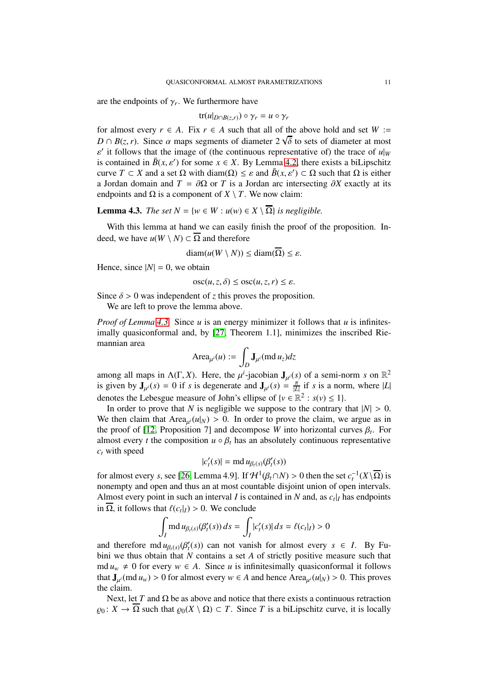are the endpoints of  $\gamma_r$ . We furthermore have

$$
\operatorname{tr}(u|_{D \cap B(z,r)}) \circ \gamma_r = u \circ \gamma_r
$$

for almost every  $r \in A$ . Fix  $r \in A$  such that all of the above hold and set  $W :=$  $D \cap B(z, r)$ . Since  $\alpha$  maps segments of diameter 2 √ $\delta$  to sets of diameter at most  $\varepsilon'$  it follows that the image of (the continuous representative of) the trace of  $u|_W$ is contained in  $\bar{B}(x, \varepsilon')$  for some  $x \in X$ . By Lemma [4.2,](#page-9-0) there exists a biLipschitz curve  $T \subset X$  and a set  $\Omega$  with diam( $\Omega$ )  $\leq \varepsilon$  and  $\bar{B}(x, \varepsilon') \subset \Omega$  such that  $\Omega$  is either a Jordan domain and  $T = \partial \Omega$  or *T* is a Jordan arc intersecting  $\partial X$  exactly at its endpoints and  $\Omega$  is a component of *X* \ *T*. We now claim:

<span id="page-10-0"></span>**Lemma 4.3.** *The set*  $N = \{w \in W : u(w) \in X \setminus \overline{\Omega}\}$  *is negligible.* 

With this lemma at hand we can easily finish the proof of the proposition. Indeed, we have  $u(W \setminus N) \subset \overline{\Omega}$  and therefore

$$
diam(u(W \setminus N)) \leq diam(\overline{\Omega}) \leq \varepsilon.
$$

Hence, since  $|N| = 0$ , we obtain

$$
osc(u, z, \delta) \leq osc(u, z, r) \leq \varepsilon.
$$

Since  $\delta > 0$  was independent of *z* this proves the proposition.

We are left to prove the lemma above.

*Proof of Lemma [4.3.](#page-10-0)* Since *u* is an energy minimizer it follows that *u* is infinitesimally quasiconformal and, by [\[27,](#page-18-17) Theorem 1.1], minimizes the inscribed Riemannian area

$$
\operatorname{Area}_{\mu^i}(u) := \int_D \mathbf{J}_{\mu^i}(\text{md}\,u_z)dz
$$

among all maps in  $\Lambda(\Gamma, X)$ . Here, the  $\mu^i$ -jacobian  $J_{\mu^i}(s)$  of a semi-norm *s* on  $\mathbb{R}^2$ is given by  $J_{\mu}i(s) = 0$  if *s* is degenerate and  $J_{\mu}i(s) = \frac{\pi}{L}$  $\frac{\pi}{|L|}$  if *s* is a norm, where  $|L|$ denotes the Lebesgue measure of John's ellipse of  $\{v \in \mathbb{R}^2 : s(v) \le 1\}$ .

In order to prove that *N* is negligible we suppose to the contrary that  $|N| > 0$ . We then claim that  $Area_{\mu'}(u|_N) > 0$ . In order to prove the claim, we argue as in the proof of [\[12,](#page-17-14) Proposition 7] and decompose *W* into horizontal curves  $\beta_t$ . For almost every *t* the composition  $u \circ \beta_t$  has an absolutely continuous representative *c<sup>t</sup>* with speed

$$
|c_t'(s)| = \text{md}\, u_{\beta_t(s)}(\beta_t'(s))
$$

for almost every *s*, see [\[26,](#page-18-5) Lemma 4.9]. If  $\mathcal{H}^1(\beta_t \cap N) > 0$  then the set  $c_t^{-1}(X \setminus \overline{\Omega})$  is nonempty and open and thus an at most countable disjoint union of open intervals. Almost every point in such an interval *I* is contained in *N* and, as  $c_t|_I$  has endpoints in  $\overline{\Omega}$ , it follows that  $\ell(c_t|_I) > 0$ . We conclude

$$
\int_I \operatorname{md} u_{\beta_t(s)}(\beta'_t(s)) ds = \int_I |c'_t(s)| ds = \ell(c_t|_I) > 0
$$

and therefore  $\text{md } u_{\beta_t(s)}(\beta_t'(s))$  can not vanish for almost every  $s \in I$ . By Fubini we thus obtain that *N* contains a set *A* of strictly positive measure such that md  $u_w \neq 0$  for every  $w \in A$ . Since *u* is infinitesimally quasiconformal it follows that  $J_{\mu^i}(\text{md } u_w) > 0$  for almost every  $w \in A$  and hence Area $_{\mu^i}(u|_N) > 0$ . This proves the claim.

Next, let *T* and  $\Omega$  be as above and notice that there exists a continuous retraction  $\rho_0: X \to \overline{\Omega}$  such that  $\rho_0(X \setminus \Omega) \subset T$ . Since *T* is a biLipschitz curve, it is locally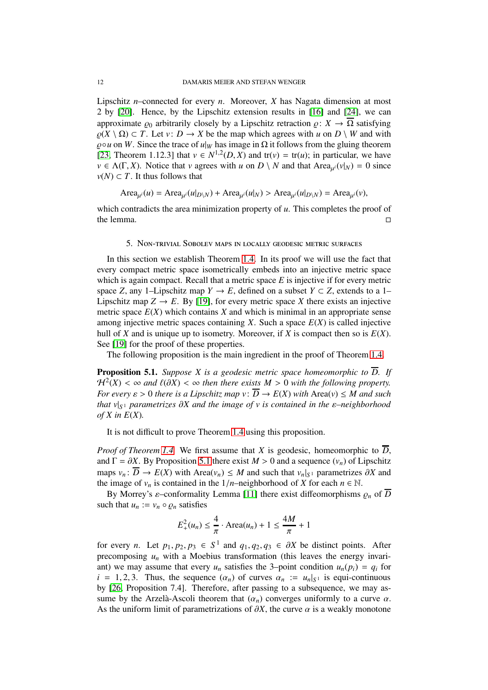Lipschitz *n*–connected for every *n*. Moreover, *X* has Nagata dimension at most 2 by [\[20\]](#page-17-15). Hence, by the Lipschitz extension results in [\[16\]](#page-17-16) and [\[24\]](#page-17-17), we can approximate  $\rho_0$  arbitrarily closely by a Lipschitz retraction  $\rho: X \to \overline{\Omega}$  satisfying  $\rho(X \setminus \Omega) \subset T$ . Let *v*:  $D \to X$  be the map which agrees with *u* on  $D \setminus W$  and with  $\rho \circ u$  on *W*. Since the trace of  $u|_W$  has image in  $\Omega$  it follows from the gluing theorem [\[23,](#page-17-13) Theorem 1.12.3] that  $v \in N^{1,2}(D, X)$  and tr(*v*) = tr(*u*); in particular, we have  $v \in \Lambda(\Gamma, X)$ . Notice that *v* agrees with *u* on *D* \ *N* and that Area<sub> $\mu^{i}(v|_{N}) = 0$  since</sub> *v*(*N*) ⊂ *T*. It thus follows that

$$
Area_{\mu^i}(u) = Area_{\mu^i}(u|_{D\setminus N}) + Area_{\mu^i}(u|_N) > Area_{\mu^i}(u|_{D\setminus N}) = Area_{\mu^i}(v),
$$

<span id="page-11-0"></span>which contradicts the area minimization property of *u*. This completes the proof of the lemma.  $\square$ 

#### 5. Non-trivial Sobolev maps in locally geodesic metric surfaces

In this section we establish Theorem [1.4.](#page-3-1) In its proof we will use the fact that every compact metric space isometrically embeds into an injective metric space which is again compact. Recall that a metric space *E* is injective if for every metric space *Z*, any 1–Lipschitz map *Y*  $\rightarrow$  *E*, defined on a subset *Y*  $\subset$  *Z*, extends to a 1– Lipschitz map  $Z \to E$ . By [\[19\]](#page-17-18), for every metric space *X* there exists an injective metric space  $E(X)$  which contains  $X$  and which is minimal in an appropriate sense among injective metric spaces containing  $X$ . Such a space  $E(X)$  is called injective hull of *X* and is unique up to isometry. Moreover, if *X* is compact then so is  $E(X)$ . See [\[19\]](#page-17-18) for the proof of these properties.

The following proposition is the main ingredient in the proof of Theorem [1.4.](#page-3-1)

<span id="page-11-1"></span>**Proposition 5.1.** *Suppose X is a geodesic metric space homeomorphic to*  $\overline{D}$ . If  $H<sup>2</sup>(X) < \infty$  and  $\ell(\partial X) < \infty$  then there exists  $M > 0$  with the following property. *For every*  $\varepsilon > 0$  *there is a Lipschitz map v:*  $\overline{D} \rightarrow E(X)$  *with* Area(*v*)  $\leq M$  *and such that v*|*<sup>S</sup>* <sup>1</sup> *parametrizes* ∂*X and the image of v is contained in the* ε*–neighborhood*  $of X$  in  $E(X)$ .

It is not difficult to prove Theorem [1.4](#page-3-1) using this proposition.

*Proof of Theorem [1.4.](#page-3-1)* We first assume that *X* is geodesic, homeomorphic to  $\overline{D}$ , and  $\Gamma = \partial X$ . By Proposition [5.1](#page-11-1) there exist  $M > 0$  and a sequence  $(v_n)$  of Lipschitz maps  $v_n: D \to E(X)$  with Area $(v_n) \leq M$  and such that  $v_n|_{S^1}$  parametrizes  $\partial X$  and the image of  $v_n$  is contained in the  $1/n$ –neighborhood of *X* for each  $n \in \mathbb{N}$ .

By Morrey's  $\varepsilon$ -conformality Lemma [\[11\]](#page-17-19) there exist diffeomorphisms  $\rho_n$  of  $\overline{D}$ such that  $u_n := v_n \circ \varrho_n$  satisfies

$$
E_{+}^{2}(u_{n}) \leq \frac{4}{\pi} \cdot \text{Area}(u_{n}) + 1 \leq \frac{4M}{\pi} + 1
$$

for every *n*. Let  $p_1, p_2, p_3 \in S^1$  and  $q_1, q_2, q_3 \in \partial X$  be distinct points. After precomposing  $u_n$  with a Moebius transformation (this leaves the energy invariant) we may assume that every  $u_n$  satisfies the 3-point condition  $u_n(p_i) = q_i$  for  $i = 1, 2, 3$ . Thus, the sequence  $(\alpha_n)$  of curves  $\alpha_n := u_n|_{S^1}$  is equi-continuous by [\[26,](#page-18-5) Proposition 7.4]. Therefore, after passing to a subsequence, we may assume by the Arzelà-Ascoli theorem that  $(\alpha_n)$  converges uniformly to a curve  $\alpha$ . As the uniform limit of parametrizations of  $\partial X$ , the curve  $\alpha$  is a weakly monotone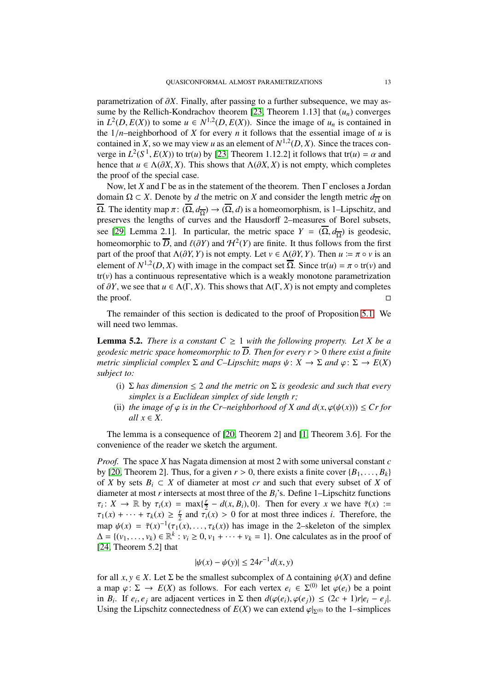parametrization of ∂*X*. Finally, after passing to a further subsequence, we may as-sume by the Rellich-Kondrachov theorem [\[23,](#page-17-13) Theorem 1.13] that  $(u_n)$  converges in  $L^2(D, E(X))$  to some  $u \in N^{1,2}(D, E(X))$ . Since the image of  $u_n$  is contained in the  $1/n$ –neighborhood of *X* for every *n* it follows that the essential image of *u* is contained in *X*, so we may view *u* as an element of  $N^{1,2}(D, X)$ . Since the traces converge in  $L^2(S^1, E(X))$  to tr(*u*) by [\[23,](#page-17-13) Theorem 1.12.2] it follows that tr(*u*) =  $\alpha$  and hence that  $u \in \Lambda(\partial X, X)$ . This shows that  $\Lambda(\partial X, X)$  is not empty, which completes the proof of the special case.

Now, let *X* and Γ be as in the statement of the theorem. Then Γ encloses a Jordan domain Ω ⊂ *X*. Denote by *d* the metric on *X* and consider the length metric  $d_{\overline{\Omega}}$  on  $\overline{\Omega}$ . The identity map  $\pi: (\overline{\Omega}, d_{\overline{\Omega}}) \to (\overline{\Omega}, d)$  is a homeomorphism, is 1–Lipschitz, and preserves the lengths of curves and the Hausdorff 2–measures of Borel subsets, see [\[29,](#page-18-4) Lemma 2.1]. In particular, the metric space  $Y = (\overline{\Omega}, d_{\overline{\Omega}})$  is geodesic, homeomorphic to  $\overline{D}$ , and  $\ell(\partial Y)$  and  $\mathcal{H}^2(Y)$  are finite. It thus follows from the first part of the proof that  $\Lambda(\partial Y, Y)$  is not empty. Let  $v \in \Lambda(\partial Y, Y)$ . Then  $u := \pi \circ v$  is an element of  $N^{1,2}(D,X)$  with image in the compact set  $\overline{\Omega}$ . Since tr(*u*) =  $\pi \circ \text{tr}(v)$  and  $tr(v)$  has a continuous representative which is a weakly monotone parametrization of  $\partial Y$ , we see that *u* ∈ Λ(Γ, *X*). This shows that Λ(Γ, *X*) is not empty and completes the proof.  $□$ the proof.  $\Box$ 

The remainder of this section is dedicated to the proof of Proposition [5.1.](#page-11-1) We will need two lemmas.

<span id="page-12-0"></span>**Lemma 5.2.** *There is a constant*  $C \geq 1$  *with the following property. Let* X *be a geodesic metric space homeomorphic to D. Then for every r* > 0 *there exist a finite metric simplicial complex*  $\Sigma$  *and*  $C$ –*Lipschitz maps*  $\psi: X \to \Sigma$  *and*  $\varphi: \Sigma \to E(X)$ *subject to:*

- (i)  $\Sigma$  *has dimension*  $\leq$  2 *and the metric on*  $\Sigma$  *is geodesic and such that every simplex is a Euclidean simplex of side length r;*
- (ii) *the image of*  $\varphi$  *is in the Cr–neighborhood of X and*  $d(x, \varphi(\psi(x))) \le Cr$  *for*  $all x \in X$ .

The lemma is a consequence of [\[20,](#page-17-15) Theorem 2] and [\[1,](#page-17-20) Theorem 3.6]. For the convenience of the reader we sketch the argument.

*Proof.* The space *X* has Nagata dimension at most 2 with some universal constant *c* by [\[20,](#page-17-15) Theorem 2]. Thus, for a given  $r > 0$ , there exists a finite cover  $\{B_1, \ldots, B_k\}$ of *X* by sets  $B_i \subset X$  of diameter at most *cr* and such that every subset of *X* of diameter at most *r* intersects at most three of the *Bi*'s. Define 1–Lipschitz functions  $\tau_i: X \to \mathbb{R}$  by  $\tau_i(x) = \max\{\frac{r}{2}\}$  $\frac{y}{2} - d(x, B_i)$ , 0}. Then for every *x* we have  $\bar{\tau}(x)$  :=  $\tau_1(x) + \cdots + \tau_k(x) \geq \frac{r}{2}$  $\frac{r}{2}$  and  $\tau_i(x) > 0$  for at most three indices *i*. Therefore, the map  $\psi(x) = \overline{\tau}(x)^{-1}(\tau_1(x), \ldots, \tau_k(x))$  has image in the 2-skeleton of the simplex  $\Delta = \{ (v_1, \ldots, v_k) \in \mathbb{R}^k : v_i \ge 0, v_1 + \cdots + v_k = 1 \}.$  One calculates as in the proof of [\[24,](#page-17-17) Theorem 5.2] that

$$
|\psi(x) - \psi(y)| \le 24r^{-1}d(x, y)
$$

for all *x*, *y*  $\in$  *X*. Let  $\Sigma$  be the smallest subcomplex of  $\Delta$  containing  $\psi$ (*X*) and define a map  $\varphi: \Sigma \to E(X)$  as follows. For each vertex  $e_i \in \Sigma^{(0)}$  let  $\varphi(e_i)$  be a point in *B<sub>i</sub>*. If  $e_i, e_j$  are adjacent vertices in  $\Sigma$  then  $d(\varphi(e_i), \varphi(e_j)) \leq (2c + 1)r|e_i - e_j|$ . Using the Lipschitz connectedness of  $E(X)$  we can extend  $\varphi|_{\Sigma^{(0)}}$  to the 1–simplices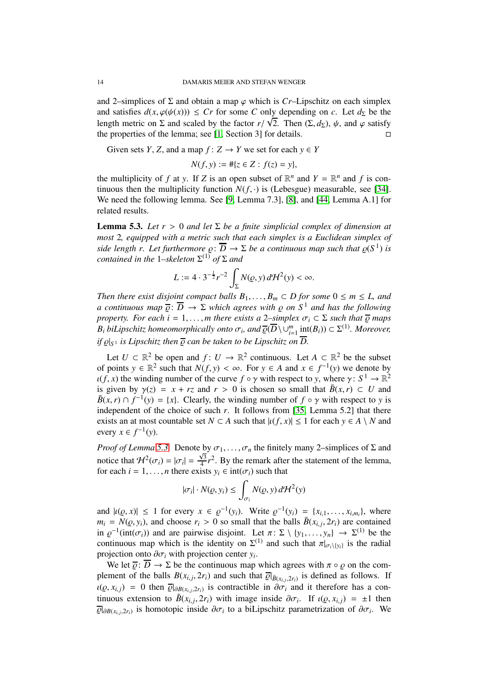and 2–simplices of  $\Sigma$  and obtain a map  $\varphi$  which is *Cr*–Lipschitz on each simplex and satisfies  $d(x, \varphi(\psi(x))) \leq Cr$  for some *C* only depending on *c*. Let  $d_{\Sigma}$  be the length metric on  $\Sigma$  and scaled by the factor  $r/\sqrt{2}$ . Then  $(\Sigma, d_{\Sigma})$ ,  $\psi$ , and  $\varphi$  satisfy the properties of the lemma; see [\[1,](#page-17-20) Section 3] for details.  $\square$ 

Given sets *Y*, *Z*, and a map  $f: Z \rightarrow Y$  we set for each  $y \in Y$ 

$$
N(f, y) := #\{z \in Z : f(z) = y\},\
$$

the multiplicity of *f* at *y*. If *Z* is an open subset of  $\mathbb{R}^n$  and  $Y = \mathbb{R}^n$  and *f* is continuous then the multiplicity function  $N(f, \cdot)$  is (Lebesgue) measurable, see [\[34\]](#page-18-20). We need the following lemma. See [\[9,](#page-17-21) Lemma 7.3], [\[8\]](#page-17-22), and [\[44,](#page-18-21) Lemma A.1] for related results.

<span id="page-13-0"></span>**Lemma 5.3.** Let  $r > 0$  and let  $\Sigma$  be a finite simplicial complex of dimension at *most* 2*, equipped with a metric such that each simplex is a Euclidean simplex of side length r. Let furthermore*  $\rho: \overline{D} \to \Sigma$  *be a continuous map such that*  $\rho(S^1)$  *is contained in the* 1*–skeleton* Σ (1) *of* Σ *and*

$$
L := 4 \cdot 3^{-\frac{1}{2}} r^{-2} \int_{\Sigma} N(\varrho, y) d\mathcal{H}^2(y) < \infty.
$$

*Then there exist disjoint compact balls*  $B_1, \ldots, B_m \subset D$  *for some*  $0 \le m \le L$ *, and a continuous map*  $\overline{\varrho}$ :  $\overline{D}$   $\rightarrow$   $\Sigma$  *which agrees with*  $\varrho$  *on*  $S^1$  *and has the following property. For each i* = 1, ..., *m* there exists a 2–simplex  $\sigma_i \subset \Sigma$  such that  $\overline{\rho}$  maps *B*<sup>*i*</sup> *biLipschitz homeomorphically onto*  $\sigma$ <sup>*i*</sup>, and  $\overline{\varrho}(\overline{D}\setminus\cup_{i=1}^m \underline{\text{int}}(B_i)) \subset \Sigma^{(1)}$ *. Moreover, if* ̺|*<sup>S</sup>* <sup>1</sup> *is Lipschitz then* ̺ *can be taken to be Lipschitz on D.*

Let  $U \subset \mathbb{R}^2$  be open and  $f: U \to \mathbb{R}^2$  continuous. Let  $A \subset \mathbb{R}^2$  be the subset of points *y* ∈  $\mathbb{R}^2$  such that *N*(*f*, *y*) < ∞. For *y* ∈ *A* and *x* ∈ *f*<sup>-1</sup>(*y*) we denote by  $u(f, x)$  the winding number of the curve  $f \circ \gamma$  with respect to *y*, where  $\gamma: S^1 \to \mathbb{R}^2$ is given by  $\gamma(z) = x + rz$  and  $r > 0$  is chosen so small that  $\bar{B}(x, r) \subset U$  and  $\bar{B}(x, r) \cap f^{-1}(y) = \{x\}$ . Clearly, the winding number of  $f \circ \gamma$  with respect to *y* is independent of the choice of such  $r$ . It follows from [\[35,](#page-18-22) Lemma 5.2] that there exists an at most countable set  $N \subset A$  such that  $|u(f, x)| \le 1$  for each  $y \in A \setminus N$  and every  $x \in f^{-1}(y)$ .

*Proof of Lemma [5.3.](#page-13-0)* Denote by  $\sigma_1, \ldots, \sigma_n$  the finitely many 2–simplices of  $\Sigma$  and notice that  $\mathcal{H}^2(\sigma_i) = |\sigma_i| = \frac{\sqrt{3}}{4}$  $\frac{\sqrt{3}}{4}r^2$ . By the remark after the statement of the lemma, for each  $i = 1, ..., n$  there exists  $y_i \in \text{int}(\sigma_i)$  such that

$$
|\sigma_i| \cdot N(\varrho, y_i) \le \int_{\sigma_i} N(\varrho, y) d\mathcal{H}^2(y)
$$

and  $|u(\rho, x)| \le 1$  for every  $x \in \rho^{-1}(y_i)$ . Write  $\rho^{-1}(y_i) = \{x_{i,1}, \ldots, x_{i,m_i}\}$ , where  $m_i = N(\varrho, y_i)$ , and choose  $r_i > 0$  so small that the balls  $\bar{B}(x_{i,j}, 2r_i)$  are contained in  $\varrho^{-1}$ (int( $\sigma_i$ )) and are pairwise disjoint. Let  $\pi \colon \Sigma \setminus \{y_1, \ldots, y_n\} \to \Sigma^{(1)}$  be the continuous map which is the identity on  $\Sigma^{(1)}$  and such that  $\pi|_{\sigma_i\setminus\{y_i\}}$  is the radial projection onto  $\partial \sigma_i$  with projection center  $y_i$ .

We let  $\overline{\varrho}$ :  $\overline{D}$   $\rightarrow$   $\Sigma$  be the continuous map which agrees with  $\pi \circ \varrho$  on the complement of the balls  $B(x_{i,j}, 2r_i)$  and such that  $\overline{\mathcal{Q}}|_{\overline{B}(x_{i,j}, 2r_i)}$  is defined as follows. If  $u(\varrho, x_{i,j}) = 0$  then  $\overline{\varrho}|_{\partial B(x_{i,j}, 2r_i)}$  is contractible in  $\partial \overline{\sigma_i}$  and it therefore has a continuous extension to  $\bar{B}(x_{i,j}, 2r_i)$  with image inside  $\partial \sigma_i$ . If  $\iota(\varrho, x_{i,j}) = \pm 1$  then  $\overline{\varrho}|_{\partial B(x_{i,j}, 2r_i)}$  is homotopic inside  $\partial \sigma_i$  to a biLipschitz parametrization of  $\partial \sigma_i$ . We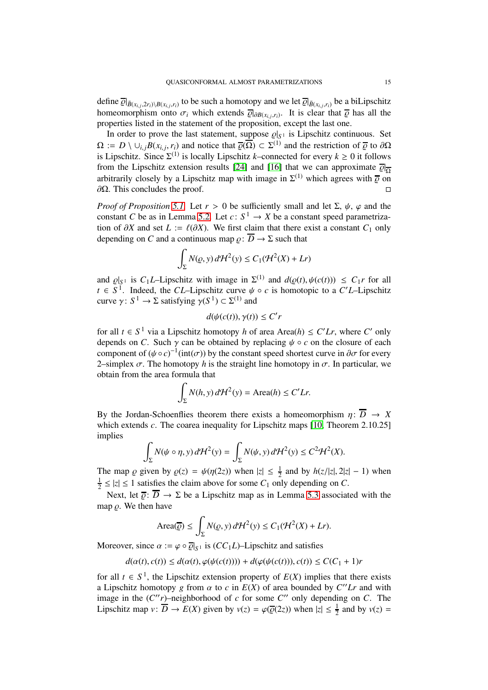define  $\overline{\varrho}|_{\overline{B}(x_{i,j},2r_i)\setminus B(x_{i,j},r_i)}$  to be such a homotopy and we let  $\overline{\varrho}|_{\overline{B}(x_{i,j},r_i)}$  be a biLipschitz homeomorphism onto  $\sigma_i$  which extends  $\overline{\varrho}|_{\partial B(x_i,j,r_i)}$ . It is clear that  $\overline{\varrho}$  has all the properties listed in the statement of the proposition, except the last one.

In order to prove the last statement, suppose  $\varrho|_{S^1}$  is Lipschitz continuous. Set  $\Omega := D \setminus \cup_{i,j} B(x_{i,j}, r_i)$  and notice that  $\overline{\varrho}(\overline{\Omega}) \subset \Sigma^{(1)}$  and the restriction of  $\overline{\varrho}$  to  $\partial\Omega$ is Lipschitz. Since  $\Sigma^{(1)}$  is locally Lipschitz *k*–connected for every  $k \ge 0$  it follows from the Lipschitz extension results [\[24\]](#page-17-17) and [\[16\]](#page-17-16) that we can approximate  $\overline{\mathcal{Q}}|_{\overline{\Omega}}$ arbitrarily closely by a Lipschitz map with image in  $\Sigma^{(1)}$  which agrees with  $\overline{\varrho}$  on  $\partial$ Ω. This concludes the proof.  $\Box$ 

*Proof of Proposition* [5.1.](#page-11-1) Let  $r > 0$  be sufficiently small and let  $\Sigma$ ,  $\psi$ ,  $\varphi$  and the constant *C* be as in Lemma [5.2.](#page-12-0) Let  $c: S^1 \to X$  be a constant speed parametrization of  $\partial X$  and set *L* :=  $\ell(\partial X)$ . We first claim that there exist a constant  $C_1$  only depending on *C* and a continuous map  $\rho: \overline{D} \to \Sigma$  such that

$$
\int_{\Sigma} N(\varrho, y) d\mathcal{H}^2(y) \le C_1(\mathcal{H}^2(X) + Lr)
$$

and  $\varrho|_{S^1}$  is  $C_1L$ –Lipschitz with image in  $\Sigma^{(1)}$  and  $d(\varrho(t), \psi(c(t))) \leq C_1r$  for all  $t \in S^1$ . Indeed, the *CL*–Lipschitz curve  $\psi \circ c$  is homotopic to a *C'L*–Lipschitz curve  $\gamma: S^1 \to \Sigma$  satisfying  $\gamma(S^1) \subset \Sigma^{(1)}$  and

$$
d(\psi(c(t)), \gamma(t)) \le C'r
$$

for all  $t \in S^1$  via a Lipschitz homotopy *h* of area Area(*h*)  $\leq C'Lr$ , where *C*<sup>'</sup> only depends on *C*. Such  $\gamma$  can be obtained by replacing  $\psi \circ c$  on the closure of each component of  $(\psi \circ c)^{-1}$ (int $(\sigma)$ ) by the constant speed shortest curve in  $\partial \sigma$  for every 2–simplex  $\sigma$ . The homotopy *h* is the straight line homotopy in  $\sigma$ . In particular, we obtain from the area formula that

$$
\int_{\Sigma} N(h, y) d\mathcal{H}^2(y) = \text{Area}(h) \le C'Lr.
$$

By the Jordan-Schoenflies theorem there exists a homeomorphism  $\eta: \overline{D} \rightarrow X$ which extends *c*. The coarea inequality for Lipschitz maps [\[10,](#page-17-23) Theorem 2.10.25] implies

$$
\int_{\Sigma} N(\psi \circ \eta, y) d\mathcal{H}^2(y) = \int_{\Sigma} N(\psi, y) d\mathcal{H}^2(y) \le C^2 \mathcal{H}^2(X).
$$

The map  $\varrho$  given by  $\varrho(z) = \psi(\eta(2z))$  when  $|z| \leq \frac{1}{2}$  and by  $h(z/|z|, 2|z| - 1)$  when 1  $\frac{1}{2} \le |z| \le 1$  satisfies the claim above for some  $C_1$  only depending on C.

Next, let  $\overline{\rho}$ :  $\overline{D}$   $\rightarrow$   $\Sigma$  be a Lipschitz map as in Lemma [5.3](#page-13-0) associated with the map  $\rho$ . We then have

$$
\text{Area}(\overline{\varrho}) \le \int_{\Sigma} N(\varrho, y) d\mathcal{H}^2(y) \le C_1(\mathcal{H}^2(X) + Lr).
$$

Moreover, since  $\alpha := \varphi \circ \overline{\varrho}|_{S^1}$  is  $(CC_1L)$ –Lipschitz and satisfies

$$
d(\alpha(t),c(t))\leq d(\alpha(t),\varphi(\psi(c(t))))+d(\varphi(\psi(c(t))),c(t))\leq C(C_1+1)r
$$

for all  $t \in S^1$ , the Lipschitz extension property of  $E(X)$  implies that there exists a Lipschitz homotopy *g* from  $\alpha$  to  $c$  in  $E(X)$  of area bounded by  $C'' L r$  and with image in the  $(C''r)$ –neighborhood of *c* for some  $C''$  only depending on *C*. The Lipschitz map  $v: \overline{D} \to E(X)$  given by  $v(z) = \varphi(\overline{\varrho}(2z))$  when  $|z| \leq \frac{1}{2}$  and by  $v(z) =$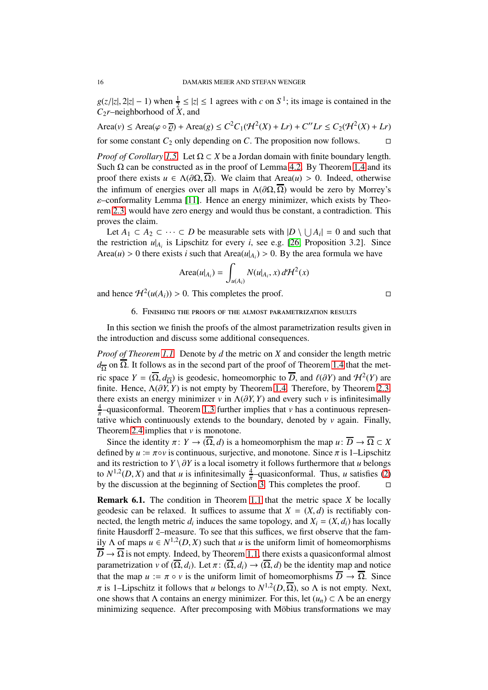$g(z/|z|, 2|z| - 1)$  when  $\frac{1}{2} \le |z| \le 1$  agrees with *c* on  $S^1$ ; its image is contained in the *C*2*r*–neighborhood of *X*, and

 $\text{Area}(v) \le \text{Area}(\varphi \circ \overline{\varphi}) + \text{Area}(g) \le C^2 C_1(\mathcal{H}^2(X) + Lr) + C'' Lr \le C_2(\mathcal{H}^2(X) + Lr)$ 

for some constant  $C_2$  only depending on *C*. The proposition now follows.  $\square$ 

*Proof of Corollary [1.5.](#page-3-3)* Let  $\Omega \subset X$  be a Jordan domain with finite boundary length. Such Ω can be constructed as in the proof of Lemma [4.2.](#page-9-0) By Theorem [1.4](#page-3-1) and its proof there exists  $u \in \Lambda(\partial\Omega, \overline{\Omega})$ . We claim that Area(*u*) > 0. Indeed, otherwise the infimum of energies over all maps in  $\Lambda(\partial\Omega,\overline{\Omega})$  would be zero by Morrey's ε–conformality Lemma [\[11\]](#page-17-19). Hence an energy minimizer, which exists by Theorem [2.3,](#page-6-3) would have zero energy and would thus be constant, a contradiction. This proves the claim.

Let  $A_1 \subset A_2 \subset \cdots \subset D$  be measurable sets with  $|D \setminus \bigcup A_i| = 0$  and such that the restriction  $u|_{A_i}$  is Lipschitz for every *i*, see e.g. [\[26,](#page-18-5) Proposition 3.2]. Since Area(*u*) > 0 there exists *i* such that Area( $u|_{A_i}$ ) > 0. By the area formula we have

$$
\text{Area}(u|_{A_i}) = \int_{u(A_i)} N(u|_{A_i}, x) d\mathcal{H}^2(x)
$$

<span id="page-15-1"></span>and hence  $\mathcal{H}^2(u(A_i)) > 0$ . This completes the proof.

### 6. Finishing the proofs of the almost parametrization results

In this section we finish the proofs of the almost parametrization results given in the introduction and discuss some additional consequences.

*Proof of Theorem [1.1.](#page-1-0)* Denote by *d* the metric on *X* and consider the length metric  $d_{\overline{\Omega}}$  on  $\overline{\Omega}$ . It follows as in the second part of the proof of Theorem [1.4](#page-3-1) that the metric space  $Y = (\overline{\Omega}, d_{\overline{\Omega}})$  is geodesic, homeomorphic to  $\overline{D}$ , and  $\ell(\partial Y)$  and  $\mathcal{H}^2(Y)$  are finite. Hence,  $\Lambda(\partial \tilde{Y}, Y)$  is not empty by Theorem [1.4.](#page-3-1) Therefore, by Theorem [2.3,](#page-6-3) there exists an energy minimizer *v* in  $\Lambda(\partial Y, Y)$  and every such *v* is infinitesimally  $\frac{4}{\pi}$ -quasiconformal. Theorem [1.3](#page-3-0) further implies that *v* has a continuous representative which continuously extends to the boundary, denoted by *v* again. Finally, Theorem [2.4](#page-6-4) implies that *v* is monotone.

Since the identity  $\pi: Y \to (\overline{\Omega}, d)$  is a homeomorphism the map  $u: \overline{D} \to \overline{\Omega} \subset X$ defined by  $u = \pi \circ v$  is continuous, surjective, and monotone. Since  $\pi$  is 1–Lipschitz and its restriction to *Y* \  $\partial Y$  is a local isometry it follows furthermore that *u* belongs to  $N^{1,2}(D, X)$  and that *u* is infinitesimally  $\frac{4}{\pi}$ -quasiconformal. Thus, *u* satisfies [\(2\)](#page-1-1) by the discussion at the beginning of Section [3.](#page-6-0) This completes the proof.

<span id="page-15-0"></span>Remark 6.1. The condition in Theorem [1.1](#page-1-0) that the metric space *X* be locally geodesic can be relaxed. It suffices to assume that  $X = (X, d)$  is rectifiably connected, the length metric  $d_i$  induces the same topology, and  $X_i = (X, d_i)$  has locally finite Hausdorff 2–measure. To see that this suffices, we first observe that the family  $\Lambda$  of maps  $u \in N^{1,2}(D, X)$  such that *u* is the uniform limit of homeomorphisms  $\overline{D}$   $\rightarrow$   $\overline{\Omega}$  is not empty. Indeed, by Theorem [1.1,](#page-1-0) there exists a quasiconformal almost parametrization *v* of  $(\overline{\Omega}, d_i)$ . Let  $\pi: (\overline{\Omega}, d_i) \to (\overline{\Omega}, d)$  be the identity map and notice that the map  $u := \pi \circ v$  is the uniform limit of homeomorphisms  $\overline{D} \to \overline{\Omega}$ . Since  $\pi$  is 1–Lipschitz it follows that *u* belongs to  $N^{1,2}(D,\overline{\Omega})$ , so  $\Lambda$  is not empty. Next, one shows that  $\Lambda$  contains an energy minimizer. For this, let  $(u_n) \subset \Lambda$  be an energy minimizing sequence. After precomposing with Möbius transformations we may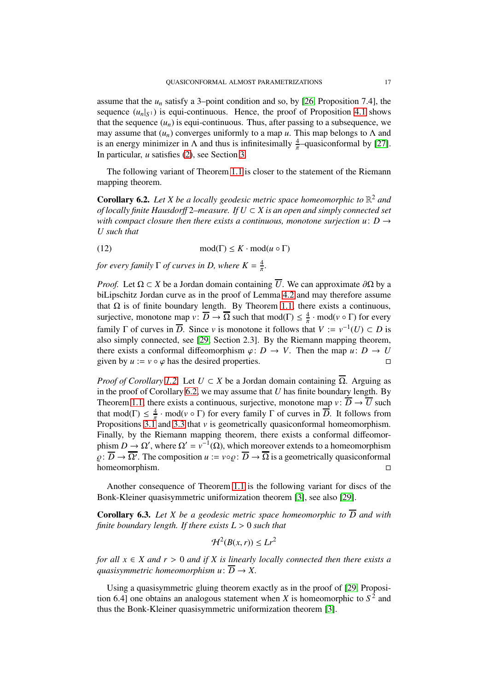assume that the  $u_n$  satisfy a 3–point condition and so, by [\[26,](#page-18-5) Proposition 7.4], the sequence  $(u_n|_{S^1})$  is equi-continuous. Hence, the proof of Proposition [4.1](#page-8-1) shows that the sequence  $(u_n)$  is equi-continuous. Thus, after passing to a subsequence, we may assume that  $(u_n)$  converges uniformly to a map *u*. This map belongs to  $\Lambda$  and is an energy minimizer in  $\Lambda$  and thus is infinitesimally  $\frac{4}{\pi}$ -quasiconformal by [\[27\]](#page-18-17). In particular, *u* satisfies [\(2\)](#page-1-1), see Section [3.](#page-6-0)

The following variant of Theorem [1.1](#page-1-0) is closer to the statement of the Riemann mapping theorem.

<span id="page-16-0"></span>**Corollary 6.2.** Let X be a locally geodesic metric space homeomorphic to  $\mathbb{R}^2$  and *of locally finite Hausdor*ff 2*–measure. If U* ⊂ *X is an open and simply connected set with compact closure then there exists a continuous, monotone surjection u: D*  $\rightarrow$ *U such that*

(12)  $\text{mod}(\Gamma) \leq K \cdot \text{mod}(u \circ \Gamma)$ 

*for every family*  $\Gamma$  *of curves in D, where*  $K = \frac{4}{\pi}$ *.* 

*Proof.* Let  $\Omega \subset X$  be a Jordan domain containing  $\overline{U}$ . We can approximate  $\partial \Omega$  by a biLipschitz Jordan curve as in the proof of Lemma [4.2](#page-9-0) and may therefore assume that  $Ω$  is of finite boundary length. By Theorem [1.1,](#page-1-0) there exists a continuous, surjective, monotone map  $v: \overline{D} \to \overline{\Omega}$  such that mod( $\Gamma$ )  $\leq \frac{4}{\pi} \cdot \text{mod}(v \circ \Gamma)$  for every family  $\Gamma$  of curves in  $\overline{D}$ . Since *v* is monotone it follows that  $V := v^{-1}(U) \subset D$  is also simply connected, see [\[29,](#page-18-4) Section 2.3]. By the Riemann mapping theorem, there exists a conformal diffeomorphism  $\varphi: D \to V$ . Then the map  $u: D \to U$ <br>given by  $u := v \circ \varphi$  has the desired properties given by  $u := v \circ \varphi$  has the desired properties.

*Proof of Corollary [1.2.](#page-2-3)* Let  $U \subset X$  be a Jordan domain containing  $\overline{\Omega}$ . Arguing as in the proof of Corollary [6.2,](#page-16-0) we may assume that *U* has finite boundary length. By Theorem [1.1,](#page-1-0) there exists a continuous, surjective, monotone map  $v: \overline{D} \to \overline{U}$  such that mod( $\Gamma$ )  $\leq \frac{4}{\pi}$  $\frac{4}{\pi}$  · mod( $v \circ \Gamma$ ) for every family  $\Gamma$  of curves in  $\overline{D}$ . It follows from Propositions  $3.\overline{1}$  and  $3.\overline{3}$  that  $\nu$  is geometrically quasiconformal homeomorphism. Finally, by the Riemann mapping theorem, there exists a conformal diffeomorphism  $D \to \Omega'$ , where  $\Omega' = v^{-1}(\Omega)$ , which moreover extends to a homeomorphism  $\varrho: \overline{D} \to \overline{\Omega'}$ . The composition  $u := v \circ \varrho: \overline{D} \to \overline{\Omega}$  is a geometrically quasiconformal homeomorphism.

Another consequence of Theorem [1.1](#page-1-0) is the following variant for discs of the Bonk-Kleiner quasisymmetric uniformization theorem [\[3\]](#page-17-0), see also [\[29\]](#page-18-4).

<span id="page-16-1"></span>**Corollary 6.3.** Let X be a geodesic metric space homeomorphic to  $\overline{D}$  and with *finite boundary length. If there exists L* > 0 *such that*

$$
\mathcal{H}^2(B(x,r)) \le Lr^2
$$

*for all*  $x \in X$  *and*  $r > 0$  *and if*  $X$  *is linearly locally connected then there exists a quasisymmetric homeomorphism*  $u: \overline{D} \rightarrow X$ *.* 

Using a quasisymmetric gluing theorem exactly as in the proof of [\[29,](#page-18-4) Proposition 6.4] one obtains an analogous statement when *X* is homeomorphic to  $S<sup>2</sup>$  and thus the Bonk-Kleiner quasisymmetric uniformization theorem [\[3\]](#page-17-0).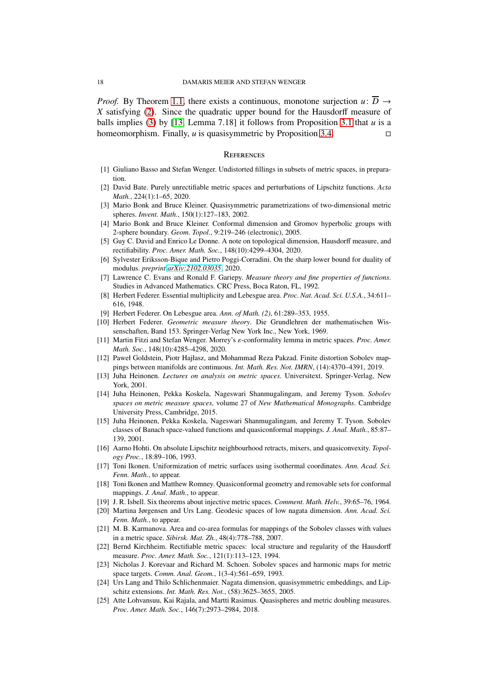*Proof.* By Theorem [1.1,](#page-1-0) there exists a continuous, monotone surjection  $u: \overline{D} \rightarrow$ *X* satisfying [\(2\)](#page-1-1). Since the quadratic upper bound for the Hausdorff measure of balls implies [\(3\)](#page-2-0) by [\[13,](#page-17-24) Lemma 7.18] it follows from Proposition [3.1](#page-6-1) that *u* is a homeomorphism. Finally, *u* is quasisymmetric by Proposition [3.4.](#page-8-2)

### **REFERENCES**

- <span id="page-17-20"></span><span id="page-17-8"></span>[1] Giuliano Basso and Stefan Wenger. Undistorted fillings in subsets of metric spaces, in preparation.
- <span id="page-17-0"></span>[2] David Bate. Purely unrectifiable metric spaces and perturbations of Lipschitz functions. *Acta Math.*, 224(1):1–65, 2020.
- <span id="page-17-1"></span>[3] Mario Bonk and Bruce Kleiner. Quasisymmetric parametrizations of two-dimensional metric spheres. *Invent. Math.*, 150(1):127–183, 2002.
- <span id="page-17-7"></span>[4] Mario Bonk and Bruce Kleiner. Conformal dimension and Gromov hyperbolic groups with 2-sphere boundary. *Geom. Topol.*, 9:219–246 (electronic), 2005.
- <span id="page-17-5"></span>[5] Guy C. David and Enrico Le Donne. A note on topological dimension, Hausdorff measure, and rectifiability. *Proc. Amer. Math. Soc.*, 148(10):4299–4304, 2020.
- <span id="page-17-12"></span>[6] Sylvester Eriksson-Bique and Pietro Poggi-Corradini. On the sharp lower bound for duality of modulus. *preprint [arXiv:2102.03035](http://arxiv.org/abs/2102.03035)*, 2020.
- [7] Lawrence C. Evans and Ronald F. Gariepy. *Measure theory and fine properties of functions*. Studies in Advanced Mathematics. CRC Press, Boca Raton, FL, 1992.
- <span id="page-17-22"></span>[8] Herbert Federer. Essential multiplicity and Lebesgue area. *Proc. Nat. Acad. Sci. U.S.A.*, 34:611– 616, 1948.
- <span id="page-17-23"></span><span id="page-17-21"></span>[9] Herbert Federer. On Lebesgue area. *Ann. of Math. (2)*, 61:289–353, 1955.
- [10] Herbert Federer. *Geometric measure theory*. Die Grundlehren der mathematischen Wissenschaften, Band 153. Springer-Verlag New York Inc., New York, 1969.
- <span id="page-17-19"></span>[11] Martin Fitzi and Stefan Wenger. Morrey's ε-conformality lemma in metric spaces. *Proc. Amer. Math. Soc.*, 148(10):4285–4298, 2020.
- <span id="page-17-14"></span>[12] Paweł Goldstein, Piotr Hajłasz, and Mohammad Reza Pakzad. Finite distortion Sobolev mappings between manifolds are continuous. *Int. Math. Res. Not. IMRN*, (14):4370–4391, 2019.
- <span id="page-17-24"></span>[13] Juha Heinonen. *Lectures on analysis on metric spaces*. Universitext. Springer-Verlag, New York, 2001.
- <span id="page-17-6"></span>[14] Juha Heinonen, Pekka Koskela, Nageswari Shanmugalingam, and Jeremy Tyson. *Sobolev spaces on metric measure spaces*, volume 27 of *New Mathematical Monographs*. Cambridge University Press, Cambridge, 2015.
- <span id="page-17-10"></span>[15] Juha Heinonen, Pekka Koskela, Nageswari Shanmugalingam, and Jeremy T. Tyson. Sobolev classes of Banach space-valued functions and quasiconformal mappings. *J. Anal. Math.*, 85:87– 139, 2001.
- <span id="page-17-16"></span>[16] Aarno Hohti. On absolute Lipschitz neighbourhood retracts, mixers, and quasiconvexity. *Topology Proc.*, 18:89–106, 1993.
- <span id="page-17-2"></span>[17] Toni Ikonen. Uniformization of metric surfaces using isothermal coordinates. *Ann. Acad. Sci. Fenn. Math.*, to appear.
- <span id="page-17-4"></span>[18] Toni Ikonen and Matthew Romney. Quasiconformal geometry and removable sets for conformal mappings. *J. Anal. Math.*, to appear.
- <span id="page-17-18"></span><span id="page-17-15"></span>[19] J. R. Isbell. Six theorems about injective metric spaces. *Comment. Math. Helv.*, 39:65–76, 1964.
- [20] Martina Jørgensen and Urs Lang. Geodesic spaces of low nagata dimension. *Ann. Acad. Sci. Fenn. Math.*, to appear.
- <span id="page-17-11"></span>[21] M. B. Karmanova. Area and co-area formulas for mappings of the Sobolev classes with values in a metric space. *Sibirsk. Mat. Zh.*, 48(4):778–788, 2007.
- <span id="page-17-9"></span>[22] Bernd Kirchheim. Rectifiable metric spaces: local structure and regularity of the Hausdorff measure. *Proc. Amer. Math. Soc.*, 121(1):113–123, 1994.
- <span id="page-17-13"></span>[23] Nicholas J. Korevaar and Richard M. Schoen. Sobolev spaces and harmonic maps for metric space targets. *Comm. Anal. Geom.*, 1(3-4):561–659, 1993.
- <span id="page-17-17"></span>[24] Urs Lang and Thilo Schlichenmaier. Nagata dimension, quasisymmetric embeddings, and Lipschitz extensions. *Int. Math. Res. Not.*, (58):3625–3655, 2005.
- <span id="page-17-3"></span>[25] Atte Lohvansuu, Kai Rajala, and Martti Rasimus. Quasispheres and metric doubling measures. *Proc. Amer. Math. Soc.*, 146(7):2973–2984, 2018.